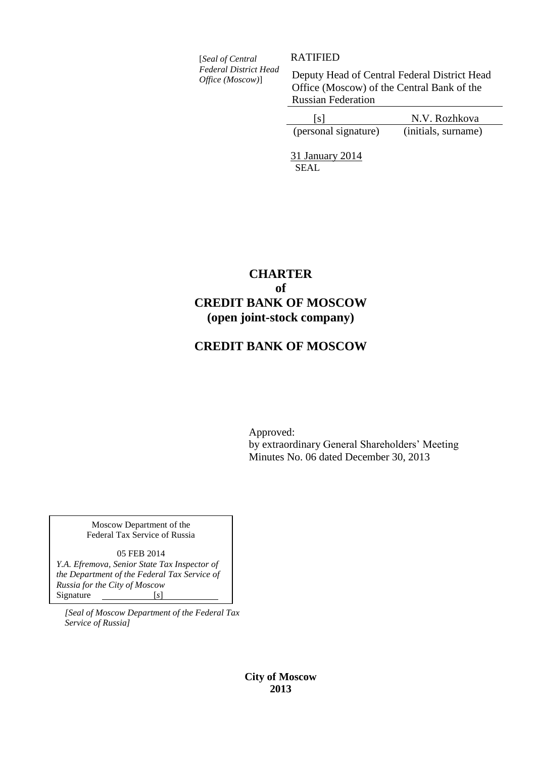[*Seal of Central Federal District Head Office (Moscow)*]

RATIFIED

Deputy Head of Central Federal District Head Office (Moscow) of the Central Bank of the Russian Federation

| [s]                  | N.V. Rozhkova       |
|----------------------|---------------------|
| (personal signature) | (initials, surname) |

31 January 2014 SEAL

# **CHARTER of CREDIT BANK OF MOSCOW (open joint-stock company)**

# **CREDIT BANK OF MOSCOW**

Approved: by extraordinary General Shareholders' Meeting Minutes No. 06 dated December 30, 2013

Moscow Department of the Federal Tax Service of Russia

05 FEB 2014 *Y.A. Efremova, Senior State Tax Inspector of the Department of the Federal Tax Service of Russia for the City of Moscow* Signature [*s*]

*[Seal of Moscow Department of the Federal Tax Service of Russia]*

> **City of Moscow 2013**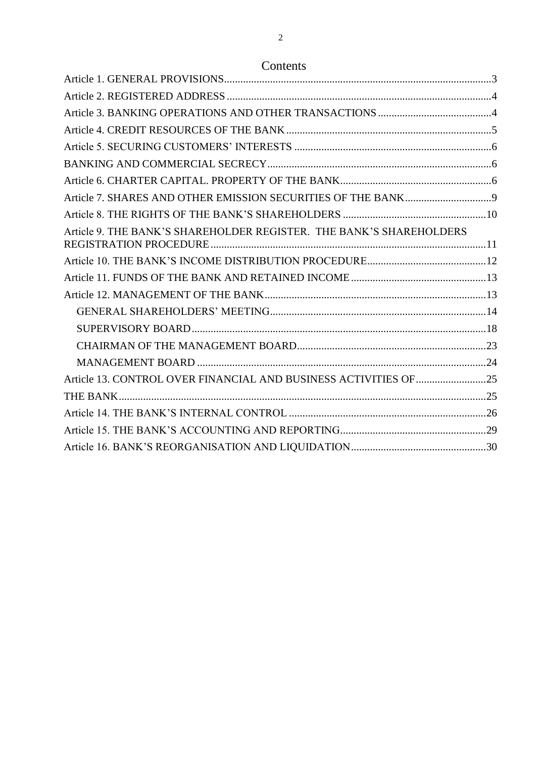# Contents

| Article 9. THE BANK'S SHAREHOLDER REGISTER. THE BANK'S SHAREHOLDERS |  |
|---------------------------------------------------------------------|--|
|                                                                     |  |
|                                                                     |  |
|                                                                     |  |
|                                                                     |  |
|                                                                     |  |
|                                                                     |  |
|                                                                     |  |
| Article 13. CONTROL OVER FINANCIAL AND BUSINESS ACTIVITIES OF 25    |  |
|                                                                     |  |
|                                                                     |  |
|                                                                     |  |
|                                                                     |  |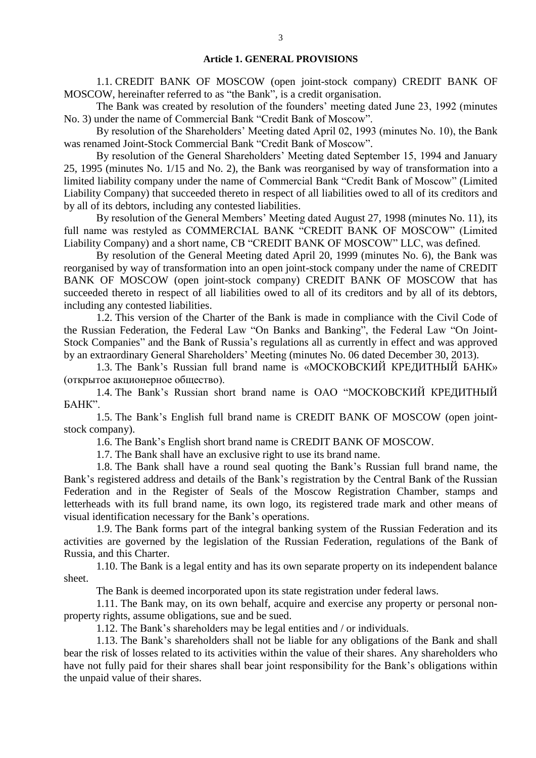#### **Article 1. GENERAL PROVISIONS**

1.1. CREDIT BANK OF MOSCOW (open joint-stock company) CREDIT BANK OF MOSCOW, hereinafter referred to as "the Bank", is a credit organisation.

The Bank was created by resolution of the founders' meeting dated June 23, 1992 (minutes No. 3) under the name of Commercial Bank "Credit Bank of Moscow".

By resolution of the Shareholders' Meeting dated April 02, 1993 (minutes No. 10), the Bank was renamed Joint-Stock Commercial Bank "Credit Bank of Moscow".

By resolution of the General Shareholders' Meeting dated September 15, 1994 and January 25, 1995 (minutes No. 1/15 and No. 2), the Bank was reorganised by way of transformation into a limited liability company under the name of Commercial Bank "Credit Bank of Moscow" (Limited Liability Company) that succeeded thereto in respect of all liabilities owed to all of its creditors and by all of its debtors, including any contested liabilities.

By resolution of the General Members' Meeting dated August 27, 1998 (minutes No. 11), its full name was restyled as COMMERCIAL BANK "CREDIT BANK OF MOSCOW" (Limited Liability Company) and a short name, CB "CREDIT BANK OF MOSCOW" LLC, was defined.

By resolution of the General Meeting dated April 20, 1999 (minutes No. 6), the Bank was reorganised by way of transformation into an open joint-stock company under the name of CREDIT BANK OF MOSCOW (open joint-stock company) CREDIT BANK OF MOSCOW that has succeeded thereto in respect of all liabilities owed to all of its creditors and by all of its debtors, including any contested liabilities.

1.2. This version of the Charter of the Bank is made in compliance with the Civil Code of the Russian Federation, the Federal Law "On Banks and Banking", the Federal Law "On Joint-Stock Companies" and the Bank of Russia's regulations all as currently in effect and was approved by an extraordinary General Shareholders' Meeting (minutes No. 06 dated December 30, 2013).

1.3. The Bank's Russian full brand name is «МОСКОВСКИЙ КРЕДИТНЫЙ БАНК» (открытое акционерное общество).

1.4. The Bank's Russian short brand name is ОАО "МОСКОВСКИЙ КРЕДИТНЫЙ БАНК".

1.5. The Bank's English full brand name is CREDIT BANK OF MOSCOW (open jointstock company).

1.6. The Bank's English short brand name is CREDIT BANK OF MOSCOW.

1.7. The Bank shall have an exclusive right to use its brand name.

1.8. The Bank shall have a round seal quoting the Bank's Russian full brand name, the Bank's registered address and details of the Bank's registration by the Central Bank of the Russian Federation and in the Register of Seals of the Moscow Registration Chamber, stamps and letterheads with its full brand name, its own logo, its registered trade mark and other means of visual identification necessary for the Bank's operations.

1.9. The Bank forms part of the integral banking system of the Russian Federation and its activities are governed by the legislation of the Russian Federation, regulations of the Bank of Russia, and this Charter.

1.10. The Bank is a legal entity and has its own separate property on its independent balance sheet.

The Bank is deemed incorporated upon its state registration under federal laws.

1.11. The Bank may, on its own behalf, acquire and exercise any property or personal nonproperty rights, assume obligations, sue and be sued.

1.12. The Bank's shareholders may be legal entities and / or individuals.

1.13. The Bank's shareholders shall not be liable for any obligations of the Bank and shall bear the risk of losses related to its activities within the value of their shares. Any shareholders who have not fully paid for their shares shall bear joint responsibility for the Bank's obligations within the unpaid value of their shares.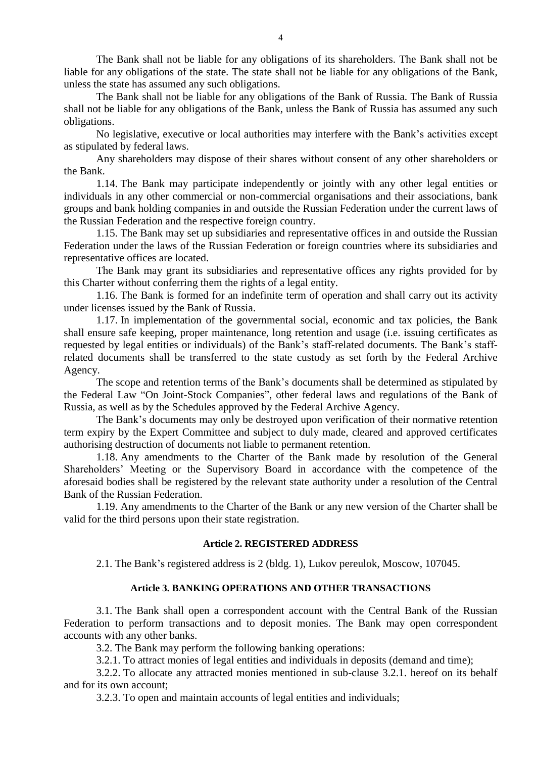The Bank shall not be liable for any obligations of its shareholders. The Bank shall not be liable for any obligations of the state. The state shall not be liable for any obligations of the Bank, unless the state has assumed any such obligations.

The Bank shall not be liable for any obligations of the Bank of Russia. The Bank of Russia shall not be liable for any obligations of the Bank, unless the Bank of Russia has assumed any such obligations.

No legislative, executive or local authorities may interfere with the Bank's activities except as stipulated by federal laws.

Any shareholders may dispose of their shares without consent of any other shareholders or the Bank.

1.14. The Bank may participate independently or jointly with any other legal entities or individuals in any other commercial or non-commercial organisations and their associations, bank groups and bank holding companies in and outside the Russian Federation under the current laws of the Russian Federation and the respective foreign country.

1.15. The Bank may set up subsidiaries and representative offices in and outside the Russian Federation under the laws of the Russian Federation or foreign countries where its subsidiaries and representative offices are located.

The Bank may grant its subsidiaries and representative offices any rights provided for by this Charter without conferring them the rights of a legal entity.

1.16. The Bank is formed for an indefinite term of operation and shall carry out its activity under licenses issued by the Bank of Russia.

1.17. In implementation of the governmental social, economic and tax policies, the Bank shall ensure safe keeping, proper maintenance, long retention and usage (i.e. issuing certificates as requested by legal entities or individuals) of the Bank's staff-related documents. The Bank's staffrelated documents shall be transferred to the state custody as set forth by the Federal Archive Agency.

The scope and retention terms of the Bank's documents shall be determined as stipulated by the Federal Law "On Joint-Stock Companies", other federal laws and regulations of the Bank of Russia, as well as by the Schedules approved by the Federal Archive Agency.

The Bank's documents may only be destroyed upon verification of their normative retention term expiry by the Expert Committee and subject to duly made, cleared and approved certificates authorising destruction of documents not liable to permanent retention.

1.18. Any amendments to the Charter of the Bank made by resolution of the General Shareholders' Meeting or the Supervisory Board in accordance with the competence of the aforesaid bodies shall be registered by the relevant state authority under a resolution of the Central Bank of the Russian Federation.

1.19. Any amendments to the Charter of the Bank or any new version of the Charter shall be valid for the third persons upon their state registration.

### **Article 2. REGISTERED ADDRESS**

2.1. The Bank's registered address is 2 (bldg. 1), Lukov pereulok, Moscow, 107045.

# **Article 3. BANKING OPERATIONS AND OTHER TRANSACTIONS**

3.1. The Bank shall open a correspondent account with the Central Bank of the Russian Federation to perform transactions and to deposit monies. The Bank may open correspondent accounts with any other banks.

3.2. The Bank may perform the following banking operations:

3.2.1. To attract monies of legal entities and individuals in deposits (demand and time);

3.2.2. To allocate any attracted monies mentioned in sub-clause 3.2.1. hereof on its behalf and for its own account;

3.2.3. To open and maintain accounts of legal entities and individuals;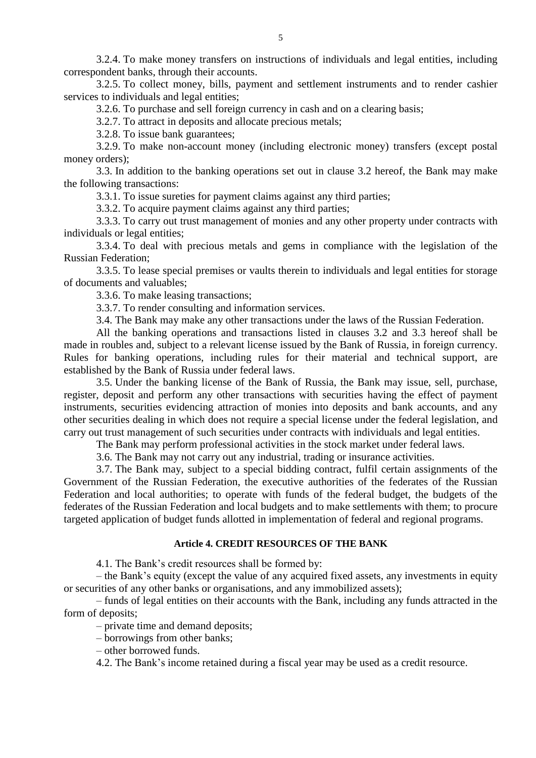3.2.4. To make money transfers on instructions of individuals and legal entities, including correspondent banks, through their accounts.

3.2.5. To collect money, bills, payment and settlement instruments and to render cashier services to individuals and legal entities;

3.2.6. To purchase and sell foreign currency in cash and on a clearing basis;

3.2.7. To attract in deposits and allocate precious metals;

3.2.8. To issue bank guarantees;

3.2.9. To make non-account money (including electronic money) transfers (except postal money orders);

3.3. In addition to the banking operations set out in clause 3.2 hereof, the Bank may make the following transactions:

3.3.1. To issue sureties for payment claims against any third parties;

3.3.2. To acquire payment claims against any third parties;

3.3.3. To carry out trust management of monies and any other property under contracts with individuals or legal entities;

3.3.4. To deal with precious metals and gems in compliance with the legislation of the Russian Federation;

3.3.5. To lease special premises or vaults therein to individuals and legal entities for storage of documents and valuables;

3.3.6. To make leasing transactions;

3.3.7. To render consulting and information services.

3.4. The Bank may make any other transactions under the laws of the Russian Federation.

All the banking operations and transactions listed in clauses 3.2 and 3.3 hereof shall be made in roubles and, subject to a relevant license issued by the Bank of Russia, in foreign currency. Rules for banking operations, including rules for their material and technical support, are established by the Bank of Russia under federal laws.

3.5. Under the banking license of the Bank of Russia, the Bank may issue, sell, purchase, register, deposit and perform any other transactions with securities having the effect of payment instruments, securities evidencing attraction of monies into deposits and bank accounts, and any other securities dealing in which does not require a special license under the federal legislation, and carry out trust management of such securities under contracts with individuals and legal entities.

The Bank may perform professional activities in the stock market under federal laws.

3.6. The Bank may not carry out any industrial, trading or insurance activities.

3.7. The Bank may, subject to a special bidding contract, fulfil certain assignments of the Government of the Russian Federation, the executive authorities of the federates of the Russian Federation and local authorities; to operate with funds of the federal budget, the budgets of the federates of the Russian Federation and local budgets and to make settlements with them; to procure targeted application of budget funds allotted in implementation of federal and regional programs.

# **Article 4. CREDIT RESOURCES OF THE BANK**

4.1. The Bank's credit resources shall be formed by:

– the Bank's equity (except the value of any acquired fixed assets, any investments in equity or securities of any other banks or organisations, and any immobilized assets);

– funds of legal entities on their accounts with the Bank, including any funds attracted in the form of deposits;

– private time and demand deposits;

– borrowings from other banks;

– other borrowed funds.

4.2. The Bank's income retained during a fiscal year may be used as a credit resource.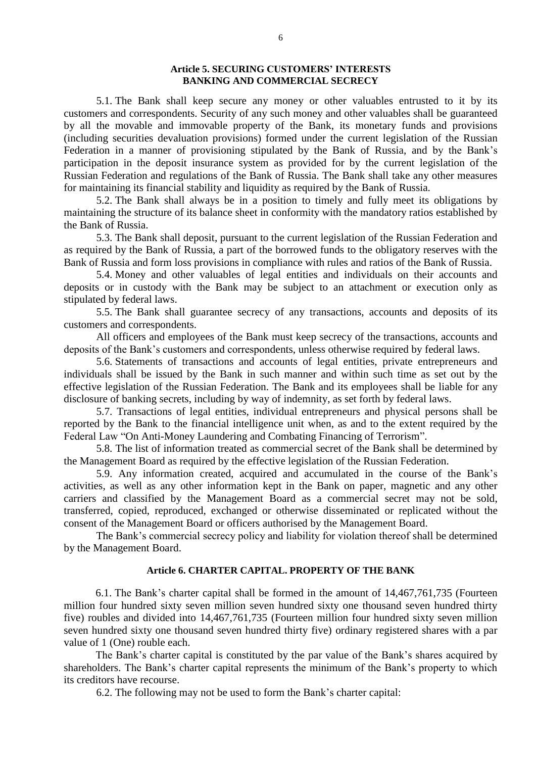### **Article 5. SECURING CUSTOMERS' INTERESTS BANKING AND COMMERCIAL SECRECY**

5.1. The Bank shall keep secure any money or other valuables entrusted to it by its customers and correspondents. Security of any such money and other valuables shall be guaranteed by all the movable and immovable property of the Bank, its monetary funds and provisions (including securities devaluation provisions) formed under the current legislation of the Russian Federation in a manner of provisioning stipulated by the Bank of Russia, and by the Bank's participation in the deposit insurance system as provided for by the current legislation of the Russian Federation and regulations of the Bank of Russia. The Bank shall take any other measures for maintaining its financial stability and liquidity as required by the Bank of Russia.

5.2. The Bank shall always be in a position to timely and fully meet its obligations by maintaining the structure of its balance sheet in conformity with the mandatory ratios established by the Bank of Russia.

5.3. The Bank shall deposit, pursuant to the current legislation of the Russian Federation and as required by the Bank of Russia, a part of the borrowed funds to the obligatory reserves with the Bank of Russia and form loss provisions in compliance with rules and ratios of the Bank of Russia.

5.4. Money and other valuables of legal entities and individuals on their accounts and deposits or in custody with the Bank may be subject to an attachment or execution only as stipulated by federal laws.

5.5. The Bank shall guarantee secrecy of any transactions, accounts and deposits of its customers and correspondents.

All officers and employees of the Bank must keep secrecy of the transactions, accounts and deposits of the Bank's customers and correspondents, unless otherwise required by federal laws.

5.6. Statements of transactions and accounts of legal entities, private entrepreneurs and individuals shall be issued by the Bank in such manner and within such time as set out by the effective legislation of the Russian Federation. The Bank and its employees shall be liable for any disclosure of banking secrets, including by way of indemnity, as set forth by federal laws.

5.7. Transactions of legal entities, individual entrepreneurs and physical persons shall be reported by the Bank to the financial intelligence unit when, as and to the extent required by the Federal Law "On Anti-Money Laundering and Combating Financing of Terrorism".

5.8. The list of information treated as commercial secret of the Bank shall be determined by the Management Board as required by the effective legislation of the Russian Federation.

5.9. Any information created, acquired and accumulated in the course of the Bank's activities, as well as any other information kept in the Bank on paper, magnetic and any other carriers and classified by the Management Board as a commercial secret may not be sold, transferred, copied, reproduced, exchanged or otherwise disseminated or replicated without the consent of the Management Board or officers authorised by the Management Board.

The Bank's commercial secrecy policy and liability for violation thereof shall be determined by the Management Board.

#### **Article 6. CHARTER CAPITAL. PROPERTY OF THE BANK**

6.1. The Bank's charter capital shall be formed in the amount of 14,467,761,735 (Fourteen million four hundred sixty seven million seven hundred sixty one thousand seven hundred thirty five) roubles and divided into 14,467,761,735 (Fourteen million four hundred sixty seven million seven hundred sixty one thousand seven hundred thirty five) ordinary registered shares with a par value of 1 (One) rouble each.

The Bank's charter capital is constituted by the par value of the Bank's shares acquired by shareholders. The Bank's charter capital represents the minimum of the Bank's property to which its creditors have recourse.

6.2. The following may not be used to form the Bank's charter capital: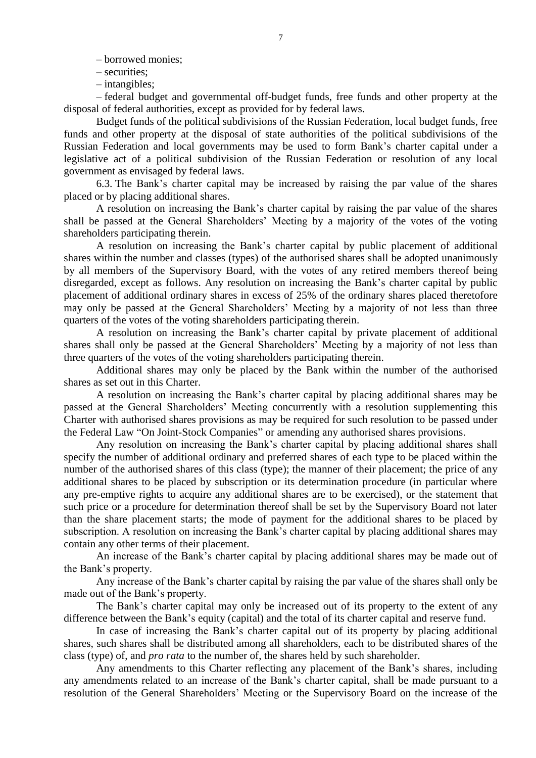– borrowed monies;

- securities;
- intangibles;

– federal budget and governmental off-budget funds, free funds and other property at the disposal of federal authorities, except as provided for by federal laws.

Budget funds of the political subdivisions of the Russian Federation, local budget funds, free funds and other property at the disposal of state authorities of the political subdivisions of the Russian Federation and local governments may be used to form Bank's charter capital under a legislative act of a political subdivision of the Russian Federation or resolution of any local government as envisaged by federal laws.

6.3. The Bank's charter capital may be increased by raising the par value of the shares placed or by placing additional shares.

A resolution on increasing the Bank's charter capital by raising the par value of the shares shall be passed at the General Shareholders' Meeting by a majority of the votes of the voting shareholders participating therein.

A resolution on increasing the Bank's charter capital by public placement of additional shares within the number and classes (types) of the authorised shares shall be adopted unanimously by all members of the Supervisory Board, with the votes of any retired members thereof being disregarded, except as follows. Any resolution on increasing the Bank's charter capital by public placement of additional ordinary shares in excess of 25% of the ordinary shares placed theretofore may only be passed at the General Shareholders' Meeting by a majority of not less than three quarters of the votes of the voting shareholders participating therein.

A resolution on increasing the Bank's charter capital by private placement of additional shares shall only be passed at the General Shareholders' Meeting by a majority of not less than three quarters of the votes of the voting shareholders participating therein.

Additional shares may only be placed by the Bank within the number of the authorised shares as set out in this Charter.

A resolution on increasing the Bank's charter capital by placing additional shares may be passed at the General Shareholders' Meeting concurrently with a resolution supplementing this Charter with authorised shares provisions as may be required for such resolution to be passed under the Federal Law "On Joint-Stock Companies" or amending any authorised shares provisions.

Any resolution on increasing the Bank's charter capital by placing additional shares shall specify the number of additional ordinary and preferred shares of each type to be placed within the number of the authorised shares of this class (type); the manner of their placement; the price of any additional shares to be placed by subscription or its determination procedure (in particular where any pre-emptive rights to acquire any additional shares are to be exercised), or the statement that such price or a procedure for determination thereof shall be set by the Supervisory Board not later than the share placement starts; the mode of payment for the additional shares to be placed by subscription. A resolution on increasing the Bank's charter capital by placing additional shares may contain any other terms of their placement.

An increase of the Bank's charter capital by placing additional shares may be made out of the Bank's property.

Any increase of the Bank's charter capital by raising the par value of the shares shall only be made out of the Bank's property.

The Bank's charter capital may only be increased out of its property to the extent of any difference between the Bank's equity (capital) and the total of its charter capital and reserve fund.

In case of increasing the Bank's charter capital out of its property by placing additional shares, such shares shall be distributed among all shareholders, each to be distributed shares of the class (type) of, and *pro rata* to the number of, the shares held by such shareholder.

Any amendments to this Charter reflecting any placement of the Bank's shares, including any amendments related to an increase of the Bank's charter capital, shall be made pursuant to a resolution of the General Shareholders' Meeting or the Supervisory Board on the increase of the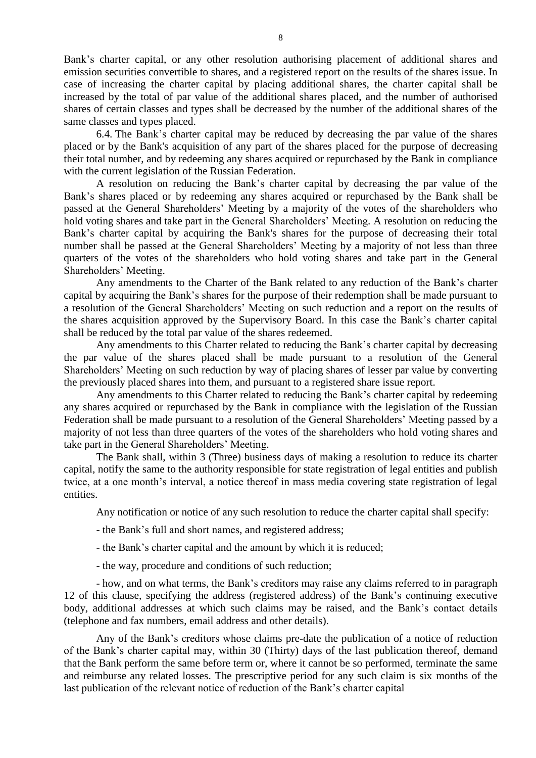Bank's charter capital, or any other resolution authorising placement of additional shares and emission securities convertible to shares, and a registered report on the results of the shares issue. In case of increasing the charter capital by placing additional shares, the charter capital shall be increased by the total of par value of the additional shares placed, and the number of authorised shares of certain classes and types shall be decreased by the number of the additional shares of the same classes and types placed.

6.4. The Bank's charter capital may be reduced by decreasing the par value of the shares placed or by the Bank's acquisition of any part of the shares placed for the purpose of decreasing their total number, and by redeeming any shares acquired or repurchased by the Bank in compliance with the current legislation of the Russian Federation.

A resolution on reducing the Bank's charter capital by decreasing the par value of the Bank's shares placed or by redeeming any shares acquired or repurchased by the Bank shall be passed at the General Shareholders' Meeting by a majority of the votes of the shareholders who hold voting shares and take part in the General Shareholders' Meeting. A resolution on reducing the Bank's charter capital by acquiring the Bank's shares for the purpose of decreasing their total number shall be passed at the General Shareholders' Meeting by a majority of not less than three quarters of the votes of the shareholders who hold voting shares and take part in the General Shareholders' Meeting.

Any amendments to the Charter of the Bank related to any reduction of the Bank's charter capital by acquiring the Bank's shares for the purpose of their redemption shall be made pursuant to a resolution of the General Shareholders' Meeting on such reduction and a report on the results of the shares acquisition approved by the Supervisory Board. In this case the Bank's charter capital shall be reduced by the total par value of the shares redeemed.

Any amendments to this Charter related to reducing the Bank's charter capital by decreasing the par value of the shares placed shall be made pursuant to a resolution of the General Shareholders' Meeting on such reduction by way of placing shares of lesser par value by converting the previously placed shares into them, and pursuant to a registered share issue report.

Any amendments to this Charter related to reducing the Bank's charter capital by redeeming any shares acquired or repurchased by the Bank in compliance with the legislation of the Russian Federation shall be made pursuant to a resolution of the General Shareholders' Meeting passed by a majority of not less than three quarters of the votes of the shareholders who hold voting shares and take part in the General Shareholders' Meeting.

The Bank shall, within 3 (Three) business days of making a resolution to reduce its charter capital, notify the same to the authority responsible for state registration of legal entities and publish twice, at a one month's interval, a notice thereof in mass media covering state registration of legal entities.

Any notification or notice of any such resolution to reduce the charter capital shall specify:

- the Bank's full and short names, and registered address;
- the Bank's charter capital and the amount by which it is reduced;
- the way, procedure and conditions of such reduction;

- how, and on what terms, the Bank's creditors may raise any claims referred to in paragraph 12 of this clause, specifying the address (registered address) of the Bank's continuing executive body, additional addresses at which such claims may be raised, and the Bank's contact details (telephone and fax numbers, email address and other details).

Any of the Bank's creditors whose claims pre-date the publication of a notice of reduction of the Bank's charter capital may, within 30 (Thirty) days of the last publication thereof, demand that the Bank perform the same before term or, where it cannot be so performed, terminate the same and reimburse any related losses. The prescriptive period for any such claim is six months of the last publication of the relevant notice of reduction of the Bank's charter capital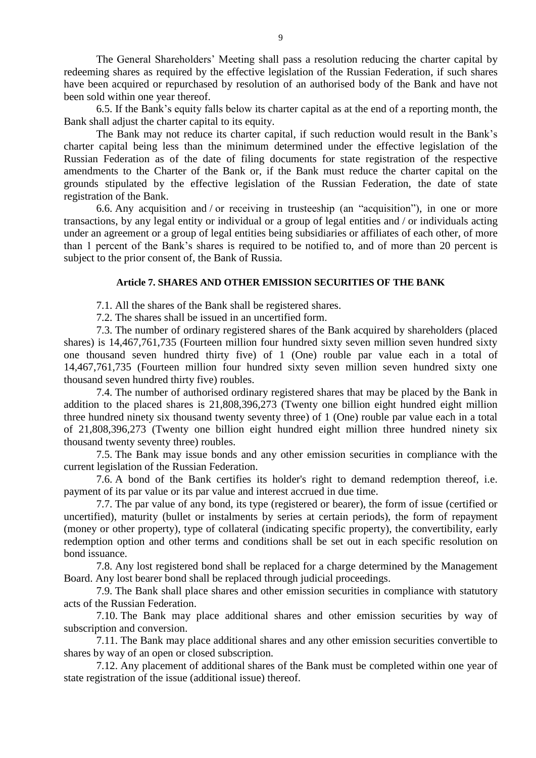The General Shareholders' Meeting shall pass a resolution reducing the charter capital by redeeming shares as required by the effective legislation of the Russian Federation, if such shares have been acquired or repurchased by resolution of an authorised body of the Bank and have not been sold within one year thereof.

6.5. If the Bank's equity falls below its charter capital as at the end of a reporting month, the Bank shall adjust the charter capital to its equity.

The Bank may not reduce its charter capital, if such reduction would result in the Bank's charter capital being less than the minimum determined under the effective legislation of the Russian Federation as of the date of filing documents for state registration of the respective amendments to the Charter of the Bank or, if the Bank must reduce the charter capital on the grounds stipulated by the effective legislation of the Russian Federation, the date of state registration of the Bank.

6.6. Any acquisition and / or receiving in trusteeship (an "acquisition"), in one or more transactions, by any legal entity or individual or a group of legal entities and / or individuals acting under an agreement or a group of legal entities being subsidiaries or affiliates of each other, of more than 1 percent of the Bank's shares is required to be notified to, and of more than 20 percent is subject to the prior consent of, the Bank of Russia.

#### **Article 7. SHARES AND OTHER EMISSION SECURITIES OF THE BANK**

7.1. All the shares of the Bank shall be registered shares.

7.2. The shares shall be issued in an uncertified form.

7.3. The number of ordinary registered shares of the Bank acquired by shareholders (placed shares) is 14,467,761,735 (Fourteen million four hundred sixty seven million seven hundred sixty one thousand seven hundred thirty five) of 1 (One) rouble par value each in a total of 14,467,761,735 (Fourteen million four hundred sixty seven million seven hundred sixty one thousand seven hundred thirty five) roubles.

7.4. The number of authorised ordinary registered shares that may be placed by the Bank in addition to the placed shares is 21,808,396,273 (Twenty one billion eight hundred eight million three hundred ninety six thousand twenty seventy three) of 1 (One) rouble par value each in a total of 21,808,396,273 (Twenty one billion eight hundred eight million three hundred ninety six thousand twenty seventy three) roubles.

7.5. The Bank may issue bonds and any other emission securities in compliance with the current legislation of the Russian Federation.

7.6. A bond of the Bank certifies its holder's right to demand redemption thereof, i.e. payment of its par value or its par value and interest accrued in due time.

7.7. The par value of any bond, its type (registered or bearer), the form of issue (certified or uncertified), maturity (bullet or instalments by series at certain periods), the form of repayment (money or other property), type of collateral (indicating specific property), the convertibility, early redemption option and other terms and conditions shall be set out in each specific resolution on bond issuance.

7.8. Any lost registered bond shall be replaced for a charge determined by the Management Board. Any lost bearer bond shall be replaced through judicial proceedings.

7.9. The Bank shall place shares and other emission securities in compliance with statutory acts of the Russian Federation.

7.10. The Bank may place additional shares and other emission securities by way of subscription and conversion.

7.11. The Bank may place additional shares and any other emission securities convertible to shares by way of an open or closed subscription.

7.12. Any placement of additional shares of the Bank must be completed within one year of state registration of the issue (additional issue) thereof.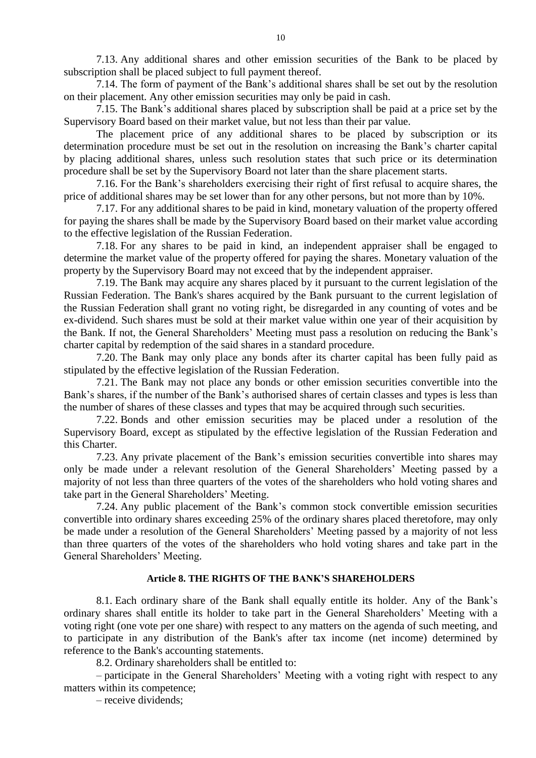7.13. Any additional shares and other emission securities of the Bank to be placed by subscription shall be placed subject to full payment thereof.

7.14. The form of payment of the Bank's additional shares shall be set out by the resolution on their placement. Any other emission securities may only be paid in cash.

7.15. The Bank's additional shares placed by subscription shall be paid at a price set by the Supervisory Board based on their market value, but not less than their par value.

The placement price of any additional shares to be placed by subscription or its determination procedure must be set out in the resolution on increasing the Bank's charter capital by placing additional shares, unless such resolution states that such price or its determination procedure shall be set by the Supervisory Board not later than the share placement starts.

7.16. For the Bank's shareholders exercising their right of first refusal to acquire shares, the price of additional shares may be set lower than for any other persons, but not more than by 10%.

7.17. For any additional shares to be paid in kind, monetary valuation of the property offered for paying the shares shall be made by the Supervisory Board based on their market value according to the effective legislation of the Russian Federation.

7.18. For any shares to be paid in kind, an independent appraiser shall be engaged to determine the market value of the property offered for paying the shares. Monetary valuation of the property by the Supervisory Board may not exceed that by the independent appraiser.

7.19. The Bank may acquire any shares placed by it pursuant to the current legislation of the Russian Federation. The Bank's shares acquired by the Bank pursuant to the current legislation of the Russian Federation shall grant no voting right, be disregarded in any counting of votes and be ex-dividend. Such shares must be sold at their market value within one year of their acquisition by the Bank. If not, the General Shareholders' Meeting must pass a resolution on reducing the Bank's charter capital by redemption of the said shares in a standard procedure.

7.20. The Bank may only place any bonds after its charter capital has been fully paid as stipulated by the effective legislation of the Russian Federation.

7.21. The Bank may not place any bonds or other emission securities convertible into the Bank's shares, if the number of the Bank's authorised shares of certain classes and types is less than the number of shares of these classes and types that may be acquired through such securities.

7.22. Bonds and other emission securities may be placed under a resolution of the Supervisory Board, except as stipulated by the effective legislation of the Russian Federation and this Charter.

7.23. Any private placement of the Bank's emission securities convertible into shares may only be made under a relevant resolution of the General Shareholders' Meeting passed by a majority of not less than three quarters of the votes of the shareholders who hold voting shares and take part in the General Shareholders' Meeting.

7.24. Any public placement of the Bank's common stock convertible emission securities convertible into ordinary shares exceeding 25% of the ordinary shares placed theretofore, may only be made under a resolution of the General Shareholders' Meeting passed by a majority of not less than three quarters of the votes of the shareholders who hold voting shares and take part in the General Shareholders' Meeting.

#### **Article 8. THE RIGHTS OF THE BANK'S SHAREHOLDERS**

8.1. Each ordinary share of the Bank shall equally entitle its holder. Any of the Bank's ordinary shares shall entitle its holder to take part in the General Shareholders' Meeting with a voting right (one vote per one share) with respect to any matters on the agenda of such meeting, and to participate in any distribution of the Bank's after tax income (net income) determined by reference to the Bank's accounting statements.

8.2. Ordinary shareholders shall be entitled to:

– participate in the General Shareholders' Meeting with a voting right with respect to any matters within its competence;

– receive dividends;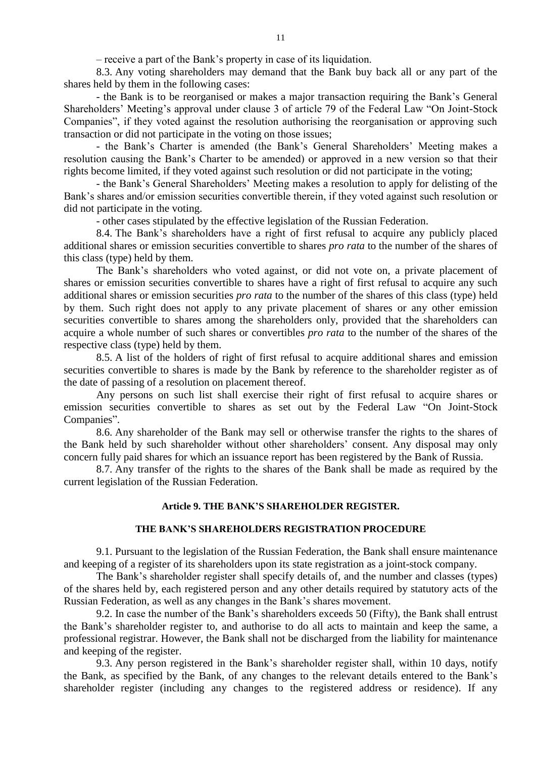– receive a part of the Bank's property in case of its liquidation.

8.3. Any voting shareholders may demand that the Bank buy back all or any part of the shares held by them in the following cases:

- the Bank is to be reorganised or makes a major transaction requiring the Bank's General Shareholders' Meeting's approval under clause 3 of article 79 of the Federal Law "On Joint-Stock Companies", if they voted against the resolution authorising the reorganisation or approving such transaction or did not participate in the voting on those issues;

- the Bank's Charter is amended (the Bank's General Shareholders' Meeting makes a resolution causing the Bank's Charter to be amended) or approved in a new version so that their rights become limited, if they voted against such resolution or did not participate in the voting;

- the Bank's General Shareholders' Meeting makes a resolution to apply for delisting of the Bank's shares and/or emission securities convertible therein, if they voted against such resolution or did not participate in the voting.

- other cases stipulated by the effective legislation of the Russian Federation.

8.4. The Bank's shareholders have a right of first refusal to acquire any publicly placed additional shares or emission securities convertible to shares *pro rata* to the number of the shares of this class (type) held by them.

The Bank's shareholders who voted against, or did not vote on, a private placement of shares or emission securities convertible to shares have a right of first refusal to acquire any such additional shares or emission securities *pro rata* to the number of the shares of this class (type) held by them. Such right does not apply to any private placement of shares or any other emission securities convertible to shares among the shareholders only, provided that the shareholders can acquire a whole number of such shares or convertibles *pro rata* to the number of the shares of the respective class (type) held by them.

8.5. A list of the holders of right of first refusal to acquire additional shares and emission securities convertible to shares is made by the Bank by reference to the shareholder register as of the date of passing of a resolution on placement thereof.

Any persons on such list shall exercise their right of first refusal to acquire shares or emission securities convertible to shares as set out by the Federal Law "On Joint-Stock Companies".

8.6. Any shareholder of the Bank may sell or otherwise transfer the rights to the shares of the Bank held by such shareholder without other shareholders' consent. Any disposal may only concern fully paid shares for which an issuance report has been registered by the Bank of Russia.

8.7. Any transfer of the rights to the shares of the Bank shall be made as required by the current legislation of the Russian Federation.

#### **Article 9. THE BANK'S SHAREHOLDER REGISTER.**

#### **THE BANK'S SHAREHOLDERS REGISTRATION PROCEDURE**

9.1. Pursuant to the legislation of the Russian Federation, the Bank shall ensure maintenance and keeping of a register of its shareholders upon its state registration as a joint-stock company.

The Bank's shareholder register shall specify details of, and the number and classes (types) of the shares held by, each registered person and any other details required by statutory acts of the Russian Federation, as well as any changes in the Bank's shares movement.

9.2. In case the number of the Bank's shareholders exceeds 50 (Fifty), the Bank shall entrust the Bank's shareholder register to, and authorise to do all acts to maintain and keep the same, a professional registrar. However, the Bank shall not be discharged from the liability for maintenance and keeping of the register.

9.3. Any person registered in the Bank's shareholder register shall, within 10 days, notify the Bank, as specified by the Bank, of any changes to the relevant details entered to the Bank's shareholder register (including any changes to the registered address or residence). If any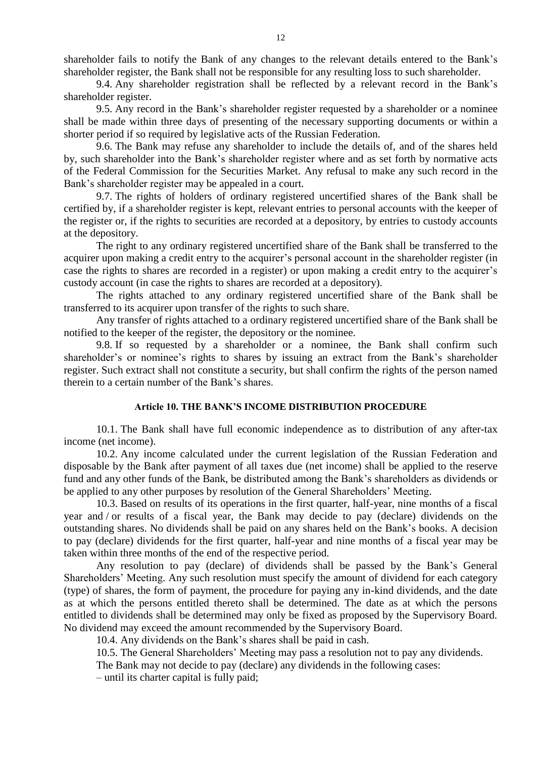shareholder fails to notify the Bank of any changes to the relevant details entered to the Bank's shareholder register, the Bank shall not be responsible for any resulting loss to such shareholder.

9.4. Any shareholder registration shall be reflected by a relevant record in the Bank's shareholder register.

9.5. Any record in the Bank's shareholder register requested by a shareholder or a nominee shall be made within three days of presenting of the necessary supporting documents or within a shorter period if so required by legislative acts of the Russian Federation.

9.6. The Bank may refuse any shareholder to include the details of, and of the shares held by, such shareholder into the Bank's shareholder register where and as set forth by normative acts of the Federal Commission for the Securities Market. Any refusal to make any such record in the Bank's shareholder register may be appealed in a court.

9.7. The rights of holders of ordinary registered uncertified shares of the Bank shall be certified by, if a shareholder register is kept, relevant entries to personal accounts with the keeper of the register or, if the rights to securities are recorded at a depository, by entries to custody accounts at the depository.

The right to any ordinary registered uncertified share of the Bank shall be transferred to the acquirer upon making a credit entry to the acquirer's personal account in the shareholder register (in case the rights to shares are recorded in a register) or upon making a credit entry to the acquirer's custody account (in case the rights to shares are recorded at a depository).

The rights attached to any ordinary registered uncertified share of the Bank shall be transferred to its acquirer upon transfer of the rights to such share.

Any transfer of rights attached to a ordinary registered uncertified share of the Bank shall be notified to the keeper of the register, the depository or the nominee.

9.8. If so requested by a shareholder or a nominee, the Bank shall confirm such shareholder's or nominee's rights to shares by issuing an extract from the Bank's shareholder register. Such extract shall not constitute a security, but shall confirm the rights of the person named therein to a certain number of the Bank's shares.

#### **Article 10. THE BANK'S INCOME DISTRIBUTION PROCEDURE**

10.1. The Bank shall have full economic independence as to distribution of any after-tax income (net income).

10.2. Any income calculated under the current legislation of the Russian Federation and disposable by the Bank after payment of all taxes due (net income) shall be applied to the reserve fund and any other funds of the Bank, be distributed among the Bank's shareholders as dividends or be applied to any other purposes by resolution of the General Shareholders' Meeting.

10.3. Based on results of its operations in the first quarter, half-year, nine months of a fiscal year and / or results of a fiscal year, the Bank may decide to pay (declare) dividends on the outstanding shares. No dividends shall be paid on any shares held on the Bank's books. A decision to pay (declare) dividends for the first quarter, half-year and nine months of a fiscal year may be taken within three months of the end of the respective period.

Any resolution to pay (declare) of dividends shall be passed by the Bank's General Shareholders' Meeting. Any such resolution must specify the amount of dividend for each category (type) of shares, the form of payment, the procedure for paying any in-kind dividends, and the date as at which the persons entitled thereto shall be determined. The date as at which the persons entitled to dividends shall be determined may only be fixed as proposed by the Supervisory Board. No dividend may exceed the amount recommended by the Supervisory Board.

10.4. Any dividends on the Bank's shares shall be paid in cash.

10.5. The General Shareholders' Meeting may pass a resolution not to pay any dividends.

The Bank may not decide to pay (declare) any dividends in the following cases:

– until its charter capital is fully paid;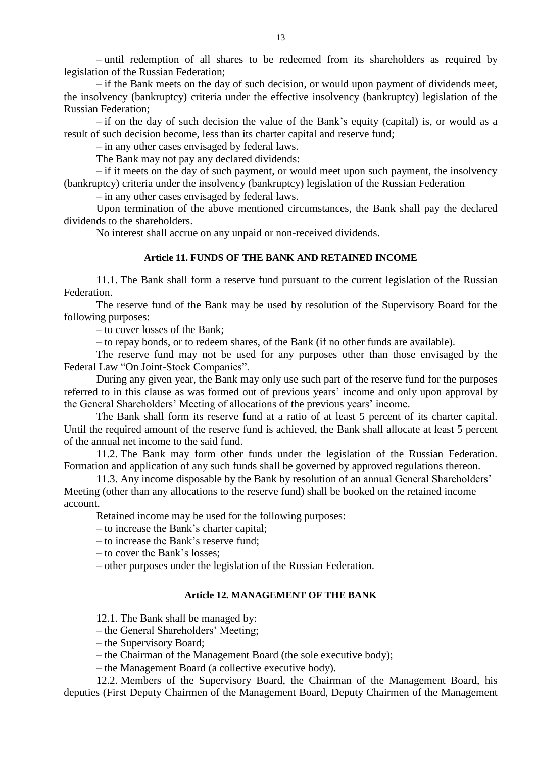– until redemption of all shares to be redeemed from its shareholders as required by legislation of the Russian Federation;

– if the Bank meets on the day of such decision, or would upon payment of dividends meet, the insolvency (bankruptcy) criteria under the effective insolvency (bankruptcy) legislation of the Russian Federation;

– if on the day of such decision the value of the Bank's equity (capital) is, or would as a result of such decision become, less than its charter capital and reserve fund;

– in any other cases envisaged by federal laws.

The Bank may not pay any declared dividends:

– if it meets on the day of such payment, or would meet upon such payment, the insolvency (bankruptcy) criteria under the insolvency (bankruptcy) legislation of the Russian Federation

– in any other cases envisaged by federal laws.

Upon termination of the above mentioned circumstances, the Bank shall pay the declared dividends to the shareholders.

No interest shall accrue on any unpaid or non-received dividends.

#### **Article 11. FUNDS OF THE BANK AND RETAINED INCOME**

11.1. The Bank shall form a reserve fund pursuant to the current legislation of the Russian Federation.

The reserve fund of the Bank may be used by resolution of the Supervisory Board for the following purposes:

– to cover losses of the Bank;

– to repay bonds, or to redeem shares, of the Bank (if no other funds are available).

The reserve fund may not be used for any purposes other than those envisaged by the Federal Law "On Joint-Stock Companies".

During any given year, the Bank may only use such part of the reserve fund for the purposes referred to in this clause as was formed out of previous years' income and only upon approval by the General Shareholders' Meeting of allocations of the previous years' income.

The Bank shall form its reserve fund at a ratio of at least 5 percent of its charter capital. Until the required amount of the reserve fund is achieved, the Bank shall allocate at least 5 percent of the annual net income to the said fund.

11.2. The Bank may form other funds under the legislation of the Russian Federation. Formation and application of any such funds shall be governed by approved regulations thereon.

11.3. Any income disposable by the Bank by resolution of an annual General Shareholders' Meeting (other than any allocations to the reserve fund) shall be booked on the retained income account.

Retained income may be used for the following purposes:

– to increase the Bank's charter capital;

– to increase the Bank's reserve fund;

– to cover the Bank's losses;

– other purposes under the legislation of the Russian Federation.

### **Article 12. MANAGEMENT OF THE BANK**

12.1. The Bank shall be managed by:

– the General Shareholders' Meeting;

– the Supervisory Board;

– the Chairman of the Management Board (the sole executive body);

– the Management Board (a collective executive body).

12.2. Members of the Supervisory Board, the Chairman of the Management Board, his deputies (First Deputy Chairmen of the Management Board, Deputy Chairmen of the Management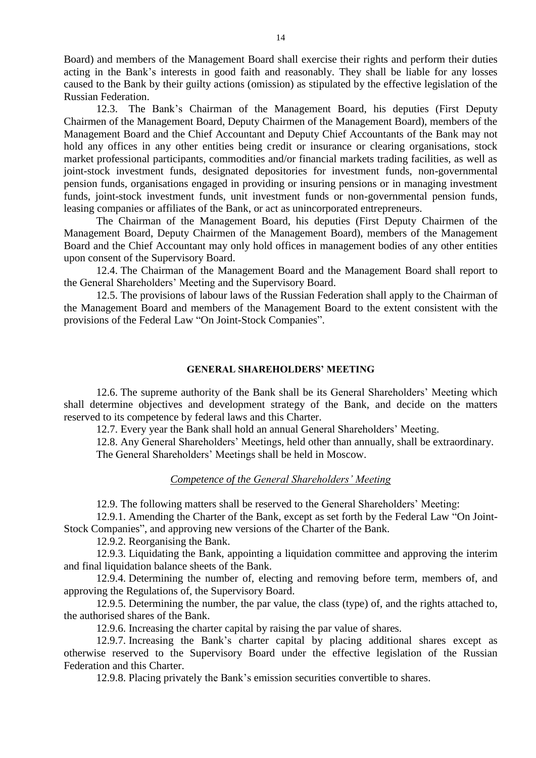Board) and members of the Management Board shall exercise their rights and perform their duties acting in the Bank's interests in good faith and reasonably. They shall be liable for any losses caused to the Bank by their guilty actions (omission) as stipulated by the effective legislation of the Russian Federation.

12.3. The Bank's Chairman of the Management Board, his deputies (First Deputy Chairmen of the Management Board, Deputy Chairmen of the Management Board), members of the Management Board and the Chief Accountant and Deputy Chief Accountants of the Bank may not hold any offices in any other entities being credit or insurance or clearing organisations, stock market professional participants, commodities and/or financial markets trading facilities, as well as joint-stock investment funds, designated depositories for investment funds, non-governmental pension funds, organisations engaged in providing or insuring pensions or in managing investment funds, joint-stock investment funds, unit investment funds or non-governmental pension funds, leasing companies or affiliates of the Bank, or act as unincorporated entrepreneurs.

The Chairman of the Management Board, his deputies (First Deputy Chairmen of the Management Board, Deputy Chairmen of the Management Board), members of the Management Board and the Chief Accountant may only hold offices in management bodies of any other entities upon consent of the Supervisory Board.

12.4. The Chairman of the Management Board and the Management Board shall report to the General Shareholders' Meeting and the Supervisory Board.

12.5. The provisions of labour laws of the Russian Federation shall apply to the Chairman of the Management Board and members of the Management Board to the extent consistent with the provisions of the Federal Law "On Joint-Stock Companies".

# **GENERAL SHAREHOLDERS' MEETING**

12.6. The supreme authority of the Bank shall be its General Shareholders' Meeting which shall determine objectives and development strategy of the Bank, and decide on the matters reserved to its competence by federal laws and this Charter.

12.7. Every year the Bank shall hold an annual General Shareholders' Meeting.

12.8. Any General Shareholders' Meetings, held other than annually, shall be extraordinary. The General Shareholders' Meetings shall be held in Moscow.

# *Competence of the General Shareholders' Meeting*

12.9. The following matters shall be reserved to the General Shareholders' Meeting:

12.9.1. Amending the Charter of the Bank, except as set forth by the Federal Law "On Joint-Stock Companies", and approving new versions of the Charter of the Bank.

12.9.2. Reorganising the Bank.

12.9.3. Liquidating the Bank, appointing a liquidation committee and approving the interim and final liquidation balance sheets of the Bank.

12.9.4. Determining the number of, electing and removing before term, members of, and approving the Regulations of, the Supervisory Board.

12.9.5. Determining the number, the par value, the class (type) of, and the rights attached to, the authorised shares of the Bank.

12.9.6. Increasing the charter capital by raising the par value of shares.

12.9.7. Increasing the Bank's charter capital by placing additional shares except as otherwise reserved to the Supervisory Board under the effective legislation of the Russian Federation and this Charter.

12.9.8. Placing privately the Bank's emission securities convertible to shares.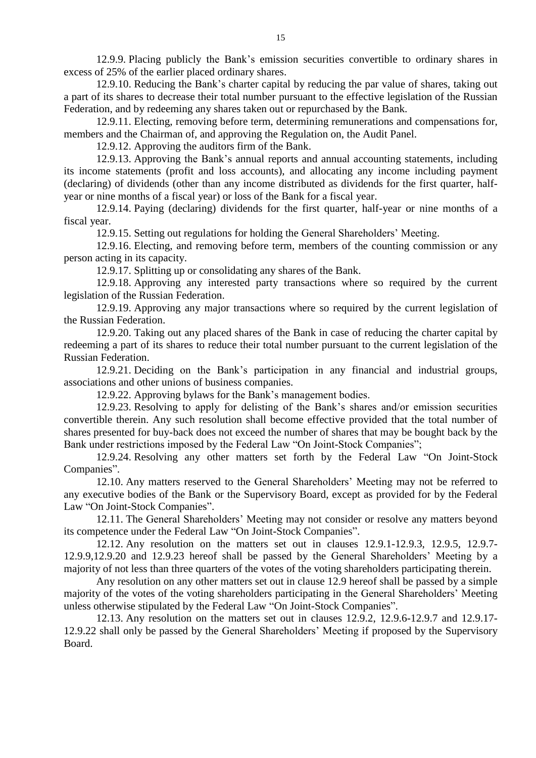12.9.9. Placing publicly the Bank's emission securities convertible to ordinary shares in excess of 25% of the earlier placed ordinary shares.

12.9.10. Reducing the Bank's charter capital by reducing the par value of shares, taking out a part of its shares to decrease their total number pursuant to the effective legislation of the Russian Federation, and by redeeming any shares taken out or repurchased by the Bank.

12.9.11. Electing, removing before term, determining remunerations and compensations for, members and the Chairman of, and approving the Regulation on, the Audit Panel.

12.9.12. Approving the auditors firm of the Bank.

12.9.13. Approving the Bank's annual reports and annual accounting statements, including its income statements (profit and loss accounts), and allocating any income including payment (declaring) of dividends (other than any income distributed as dividends for the first quarter, halfyear or nine months of a fiscal year) or loss of the Bank for a fiscal year.

12.9.14. Paying (declaring) dividends for the first quarter, half-year or nine months of a fiscal year.

12.9.15. Setting out regulations for holding the General Shareholders' Meeting.

12.9.16. Electing, and removing before term, members of the counting commission or any person acting in its capacity.

12.9.17. Splitting up or consolidating any shares of the Bank.

12.9.18. Approving any interested party transactions where so required by the current legislation of the Russian Federation.

12.9.19. Approving any major transactions where so required by the current legislation of the Russian Federation.

12.9.20. Taking out any placed shares of the Bank in case of reducing the charter capital by redeeming a part of its shares to reduce their total number pursuant to the current legislation of the Russian Federation.

12.9.21. Deciding on the Bank's participation in any financial and industrial groups, associations and other unions of business companies.

12.9.22. Approving bylaws for the Bank's management bodies.

12.9.23. Resolving to apply for delisting of the Bank's shares and/or emission securities convertible therein. Any such resolution shall become effective provided that the total number of shares presented for buy-back does not exceed the number of shares that may be bought back by the Bank under restrictions imposed by the Federal Law "On Joint-Stock Companies";

12.9.24. Resolving any other matters set forth by the Federal Law "On Joint-Stock Companies".

12.10. Any matters reserved to the General Shareholders' Meeting may not be referred to any executive bodies of the Bank or the Supervisory Board, except as provided for by the Federal Law "On Joint-Stock Companies".

12.11. The General Shareholders' Meeting may not consider or resolve any matters beyond its competence under the Federal Law "On Joint-Stock Companies".

12.12. Any resolution on the matters set out in clauses 12.9.1-12.9.3, 12.9.5, 12.9.7- 12.9.9,12.9.20 and 12.9.23 hereof shall be passed by the General Shareholders' Meeting by a majority of not less than three quarters of the votes of the voting shareholders participating therein.

Any resolution on any other matters set out in clause 12.9 hereof shall be passed by a simple majority of the votes of the voting shareholders participating in the General Shareholders' Meeting unless otherwise stipulated by the Federal Law "On Joint-Stock Companies".

12.13. Any resolution on the matters set out in clauses 12.9.2, 12.9.6-12.9.7 and 12.9.17- 12.9.22 shall only be passed by the General Shareholders' Meeting if proposed by the Supervisory Board.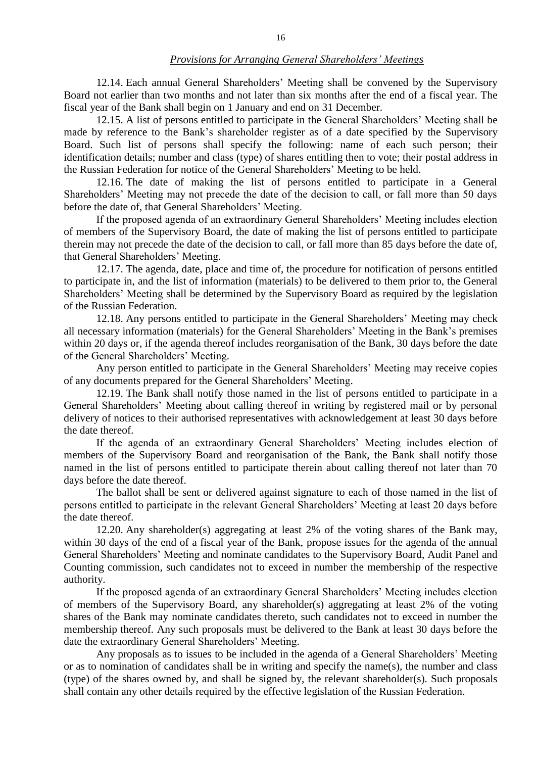12.14. Each annual General Shareholders' Meeting shall be convened by the Supervisory Board not earlier than two months and not later than six months after the end of a fiscal year. The fiscal year of the Bank shall begin on 1 January and end on 31 December.

12.15. A list of persons entitled to participate in the General Shareholders' Meeting shall be made by reference to the Bank's shareholder register as of a date specified by the Supervisory Board. Such list of persons shall specify the following: name of each such person; their identification details; number and class (type) of shares entitling then to vote; their postal address in the Russian Federation for notice of the General Shareholders' Meeting to be held.

12.16. The date of making the list of persons entitled to participate in a General Shareholders' Meeting may not precede the date of the decision to call, or fall more than 50 days before the date of, that General Shareholders' Meeting.

If the proposed agenda of an extraordinary General Shareholders' Meeting includes election of members of the Supervisory Board, the date of making the list of persons entitled to participate therein may not precede the date of the decision to call, or fall more than 85 days before the date of, that General Shareholders' Meeting.

12.17. The agenda, date, place and time of, the procedure for notification of persons entitled to participate in, and the list of information (materials) to be delivered to them prior to, the General Shareholders' Meeting shall be determined by the Supervisory Board as required by the legislation of the Russian Federation.

12.18. Any persons entitled to participate in the General Shareholders' Meeting may check all necessary information (materials) for the General Shareholders' Meeting in the Bank's premises within 20 days or, if the agenda thereof includes reorganisation of the Bank, 30 days before the date of the General Shareholders' Meeting.

Any person entitled to participate in the General Shareholders' Meeting may receive copies of any documents prepared for the General Shareholders' Meeting.

12.19. The Bank shall notify those named in the list of persons entitled to participate in a General Shareholders' Meeting about calling thereof in writing by registered mail or by personal delivery of notices to their authorised representatives with acknowledgement at least 30 days before the date thereof.

If the agenda of an extraordinary General Shareholders' Meeting includes election of members of the Supervisory Board and reorganisation of the Bank, the Bank shall notify those named in the list of persons entitled to participate therein about calling thereof not later than 70 days before the date thereof.

The ballot shall be sent or delivered against signature to each of those named in the list of persons entitled to participate in the relevant General Shareholders' Meeting at least 20 days before the date thereof.

12.20. Any shareholder(s) aggregating at least 2% of the voting shares of the Bank may, within 30 days of the end of a fiscal year of the Bank, propose issues for the agenda of the annual General Shareholders' Meeting and nominate candidates to the Supervisory Board, Audit Panel and Counting commission, such candidates not to exceed in number the membership of the respective authority.

If the proposed agenda of an extraordinary General Shareholders' Meeting includes election of members of the Supervisory Board, any shareholder(s) aggregating at least 2% of the voting shares of the Bank may nominate candidates thereto, such candidates not to exceed in number the membership thereof. Any such proposals must be delivered to the Bank at least 30 days before the date the extraordinary General Shareholders' Meeting.

Any proposals as to issues to be included in the agenda of a General Shareholders' Meeting or as to nomination of candidates shall be in writing and specify the name(s), the number and class (type) of the shares owned by, and shall be signed by, the relevant shareholder(s). Such proposals shall contain any other details required by the effective legislation of the Russian Federation.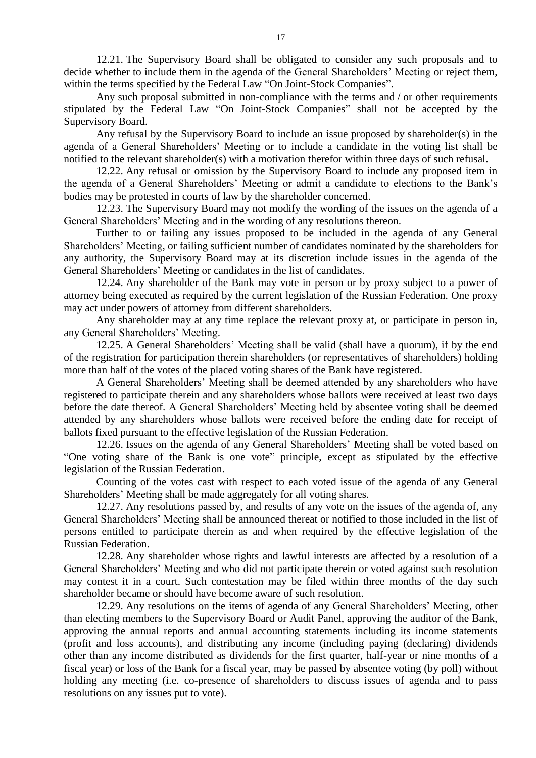12.21. The Supervisory Board shall be obligated to consider any such proposals and to decide whether to include them in the agenda of the General Shareholders' Meeting or reject them, within the terms specified by the Federal Law "On Joint-Stock Companies".

Any such proposal submitted in non-compliance with the terms and / or other requirements stipulated by the Federal Law "On Joint-Stock Companies" shall not be accepted by the Supervisory Board.

Any refusal by the Supervisory Board to include an issue proposed by shareholder(s) in the agenda of a General Shareholders' Meeting or to include a candidate in the voting list shall be notified to the relevant shareholder(s) with a motivation therefor within three days of such refusal.

12.22. Any refusal or omission by the Supervisory Board to include any proposed item in the agenda of a General Shareholders' Meeting or admit a candidate to elections to the Bank's bodies may be protested in courts of law by the shareholder concerned.

12.23. The Supervisory Board may not modify the wording of the issues on the agenda of a General Shareholders' Meeting and in the wording of any resolutions thereon.

Further to or failing any issues proposed to be included in the agenda of any General Shareholders' Meeting, or failing sufficient number of candidates nominated by the shareholders for any authority, the Supervisory Board may at its discretion include issues in the agenda of the General Shareholders' Meeting or candidates in the list of candidates.

12.24. Any shareholder of the Bank may vote in person or by proxy subject to a power of attorney being executed as required by the current legislation of the Russian Federation. One proxy may act under powers of attorney from different shareholders.

Any shareholder may at any time replace the relevant proxy at, or participate in person in, any General Shareholders' Meeting.

12.25. A General Shareholders' Meeting shall be valid (shall have a quorum), if by the end of the registration for participation therein shareholders (or representatives of shareholders) holding more than half of the votes of the placed voting shares of the Bank have registered.

A General Shareholders' Meeting shall be deemed attended by any shareholders who have registered to participate therein and any shareholders whose ballots were received at least two days before the date thereof. A General Shareholders' Meeting held by absentee voting shall be deemed attended by any shareholders whose ballots were received before the ending date for receipt of ballots fixed pursuant to the effective legislation of the Russian Federation.

12.26. Issues on the agenda of any General Shareholders' Meeting shall be voted based on "One voting share of the Bank is one vote" principle, except as stipulated by the effective legislation of the Russian Federation.

Counting of the votes cast with respect to each voted issue of the agenda of any General Shareholders' Meeting shall be made aggregately for all voting shares.

12.27. Any resolutions passed by, and results of any vote on the issues of the agenda of, any General Shareholders' Meeting shall be announced thereat or notified to those included in the list of persons entitled to participate therein as and when required by the effective legislation of the Russian Federation.

12.28. Any shareholder whose rights and lawful interests are affected by a resolution of a General Shareholders' Meeting and who did not participate therein or voted against such resolution may contest it in a court. Such contestation may be filed within three months of the day such shareholder became or should have become aware of such resolution.

12.29. Any resolutions on the items of agenda of any General Shareholders' Meeting, other than electing members to the Supervisory Board or Audit Panel, approving the auditor of the Bank, approving the annual reports and annual accounting statements including its income statements (profit and loss accounts), and distributing any income (including paying (declaring) dividends other than any income distributed as dividends for the first quarter, half-year or nine months of a fiscal year) or loss of the Bank for a fiscal year, may be passed by absentee voting (by poll) without holding any meeting (i.e. co-presence of shareholders to discuss issues of agenda and to pass resolutions on any issues put to vote).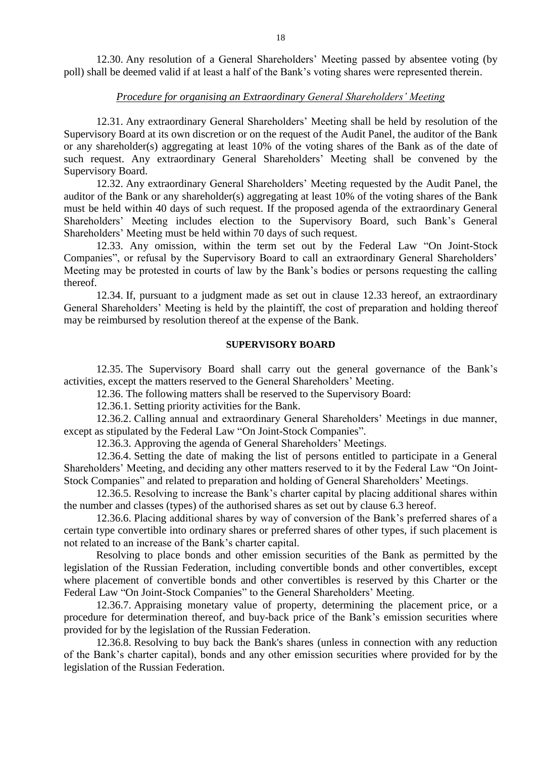12.30. Any resolution of a General Shareholders' Meeting passed by absentee voting (by poll) shall be deemed valid if at least a half of the Bank's voting shares were represented therein.

# *Procedure for organising an Extraordinary General Shareholders' Meeting*

12.31. Any extraordinary General Shareholders' Meeting shall be held by resolution of the Supervisory Board at its own discretion or on the request of the Audit Panel, the auditor of the Bank or any shareholder(s) aggregating at least 10% of the voting shares of the Bank as of the date of such request. Any extraordinary General Shareholders' Meeting shall be convened by the Supervisory Board.

12.32. Any extraordinary General Shareholders' Meeting requested by the Audit Panel, the auditor of the Bank or any shareholder(s) aggregating at least 10% of the voting shares of the Bank must be held within 40 days of such request. If the proposed agenda of the extraordinary General Shareholders' Meeting includes election to the Supervisory Board, such Bank's General Shareholders' Meeting must be held within 70 days of such request.

12.33. Any omission, within the term set out by the Federal Law "On Joint-Stock Companies", or refusal by the Supervisory Board to call an extraordinary General Shareholders' Meeting may be protested in courts of law by the Bank's bodies or persons requesting the calling thereof.

12.34. If, pursuant to a judgment made as set out in clause 12.33 hereof, an extraordinary General Shareholders' Meeting is held by the plaintiff, the cost of preparation and holding thereof may be reimbursed by resolution thereof at the expense of the Bank.

#### **SUPERVISORY BOARD**

12.35. The Supervisory Board shall carry out the general governance of the Bank's activities, except the matters reserved to the General Shareholders' Meeting.

12.36. The following matters shall be reserved to the Supervisory Board:

12.36.1. Setting priority activities for the Bank.

12.36.2. Calling annual and extraordinary General Shareholders' Meetings in due manner, except as stipulated by the Federal Law "On Joint-Stock Companies".

12.36.3. Approving the agenda of General Shareholders' Meetings.

12.36.4. Setting the date of making the list of persons entitled to participate in a General Shareholders' Meeting, and deciding any other matters reserved to it by the Federal Law "On Joint-Stock Companies" and related to preparation and holding of General Shareholders' Meetings.

12.36.5. Resolving to increase the Bank's charter capital by placing additional shares within the number and classes (types) of the authorised shares as set out by clause 6.3 hereof.

12.36.6. Placing additional shares by way of conversion of the Bank's preferred shares of a certain type convertible into ordinary shares or preferred shares of other types, if such placement is not related to an increase of the Bank's charter capital.

Resolving to place bonds and other emission securities of the Bank as permitted by the legislation of the Russian Federation, including convertible bonds and other convertibles, except where placement of convertible bonds and other convertibles is reserved by this Charter or the Federal Law "On Joint-Stock Companies" to the General Shareholders' Meeting.

12.36.7. Appraising monetary value of property, determining the placement price, or a procedure for determination thereof, and buy-back price of the Bank's emission securities where provided for by the legislation of the Russian Federation.

12.36.8. Resolving to buy back the Bank's shares (unless in connection with any reduction of the Bank's charter capital), bonds and any other emission securities where provided for by the legislation of the Russian Federation.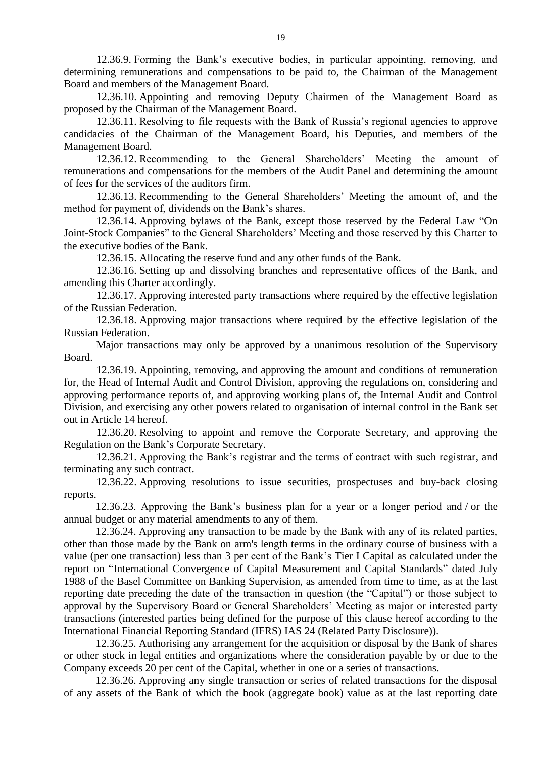12.36.9. Forming the Bank's executive bodies, in particular appointing, removing, and determining remunerations and compensations to be paid to, the Chairman of the Management Board and members of the Management Board.

12.36.10. Appointing and removing Deputy Chairmen of the Management Board as proposed by the Chairman of the Management Board.

12.36.11. Resolving to file requests with the Bank of Russia's regional agencies to approve candidacies of the Chairman of the Management Board, his Deputies, and members of the Management Board.

12.36.12. Recommending to the General Shareholders' Meeting the amount of remunerations and compensations for the members of the Audit Panel and determining the amount of fees for the services of the auditors firm.

12.36.13. Recommending to the General Shareholders' Meeting the amount of, and the method for payment of, dividends on the Bank's shares.

12.36.14. Approving bylaws of the Bank, except those reserved by the Federal Law "On Joint-Stock Companies" to the General Shareholders' Meeting and those reserved by this Charter to the executive bodies of the Bank.

12.36.15. Allocating the reserve fund and any other funds of the Bank.

12.36.16. Setting up and dissolving branches and representative offices of the Bank, and amending this Charter accordingly.

12.36.17. Approving interested party transactions where required by the effective legislation of the Russian Federation.

12.36.18. Approving major transactions where required by the effective legislation of the Russian Federation.

Major transactions may only be approved by a unanimous resolution of the Supervisory Board.

12.36.19. Appointing, removing, and approving the amount and conditions of remuneration for, the Head of Internal Audit and Control Division, approving the regulations on, considering and approving performance reports of, and approving working plans of, the Internal Audit and Control Division, and exercising any other powers related to organisation of internal control in the Bank set out in Article 14 hereof.

12.36.20. Resolving to appoint and remove the Corporate Secretary, and approving the Regulation on the Bank's Corporate Secretary.

12.36.21. Approving the Bank's registrar and the terms of contract with such registrar, and terminating any such contract.

12.36.22. Approving resolutions to issue securities, prospectuses and buy-back closing reports.

12.36.23. Approving the Bank's business plan for a year or a longer period and / or the annual budget or any material amendments to any of them.

12.36.24. Approving any transaction to be made by the Bank with any of its related parties, other than those made by the Bank on arm's length terms in the ordinary course of business with a value (per one transaction) less than 3 per cent of the Bank's Tier I Capital as calculated under the report on "International Convergence of Capital Measurement and Capital Standards" dated July 1988 of the Basel Committee on Banking Supervision, as amended from time to time, as at the last reporting date preceding the date of the transaction in question (the "Capital") or those subject to approval by the Supervisory Board or General Shareholders' Meeting as major or interested party transactions (interested parties being defined for the purpose of this clause hereof according to the International Financial Reporting Standard (IFRS) IAS 24 (Related Party Disclosure)).

12.36.25. Authorising any arrangement for the acquisition or disposal by the Bank of shares or other stock in legal entities and organizations where the consideration payable by or due to the Company exceeds 20 per cent of the Capital, whether in one or a series of transactions.

12.36.26. Approving any single transaction or series of related transactions for the disposal of any assets of the Bank of which the book (aggregate book) value as at the last reporting date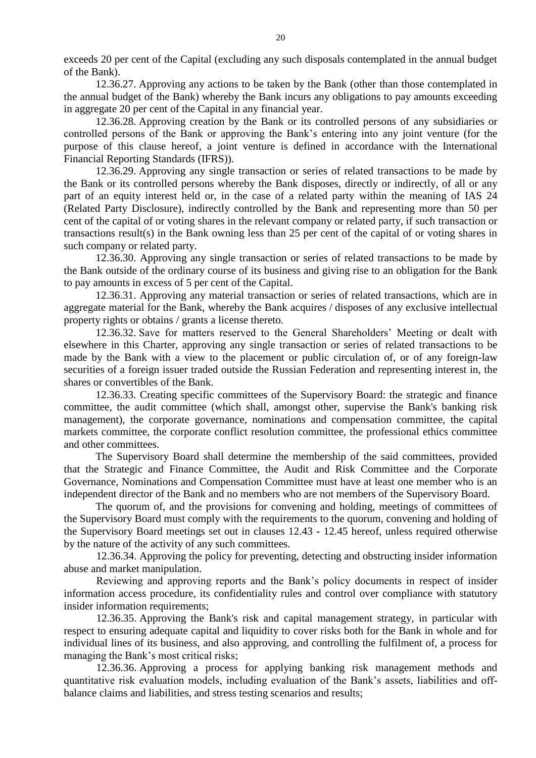exceeds 20 per cent of the Capital (excluding any such disposals contemplated in the annual budget of the Bank).

12.36.27. Approving any actions to be taken by the Bank (other than those contemplated in the annual budget of the Bank) whereby the Bank incurs any obligations to pay amounts exceeding in aggregate 20 per cent of the Capital in any financial year.

12.36.28. Approving creation by the Bank or its controlled persons of any subsidiaries or controlled persons of the Bank or approving the Bank's entering into any joint venture (for the purpose of this clause hereof, a joint venture is defined in accordance with the International Financial Reporting Standards (IFRS)).

12.36.29. Approving any single transaction or series of related transactions to be made by the Bank or its controlled persons whereby the Bank disposes, directly or indirectly, of all or any part of an equity interest held or, in the case of a related party within the meaning of IAS 24 (Related Party Disclosure), indirectly controlled by the Bank and representing more than 50 per cent of the capital of or voting shares in the relevant company or related party, if such transaction or transactions result(s) in the Bank owning less than 25 per cent of the capital of or voting shares in such company or related party.

12.36.30. Approving any single transaction or series of related transactions to be made by the Bank outside of the ordinary course of its business and giving rise to an obligation for the Bank to pay amounts in excess of 5 per cent of the Capital.

12.36.31. Approving any material transaction or series of related transactions, which are in aggregate material for the Bank, whereby the Bank acquires / disposes of any exclusive intellectual property rights or obtains / grants a license thereto.

12.36.32. Save for matters reserved to the General Shareholders' Meeting or dealt with elsewhere in this Charter, approving any single transaction or series of related transactions to be made by the Bank with a view to the placement or public circulation of, or of any foreign-law securities of a foreign issuer traded outside the Russian Federation and representing interest in, the shares or convertibles of the Bank.

12.36.33. Creating specific committees of the Supervisory Board: the strategic and finance committee, the audit committee (which shall, amongst other, supervise the Bank's banking risk management), the corporate governance, nominations and compensation committee, the capital markets committee, the corporate conflict resolution committee, the professional ethics committee and other committees.

The Supervisory Board shall determine the membership of the said committees, provided that the Strategic and Finance Committee, the Audit and Risk Committee and the Corporate Governance, Nominations and Compensation Committee must have at least one member who is an independent director of the Bank and no members who are not members of the Supervisory Board.

The quorum of, and the provisions for convening and holding, meetings of committees of the Supervisory Board must comply with the requirements to the quorum, convening and holding of the Supervisory Board meetings set out in clauses 12.43 - 12.45 hereof, unless required otherwise by the nature of the activity of any such committees.

12.36.34. Approving the policy for preventing, detecting and obstructing insider information abuse and market manipulation.

Reviewing and approving reports and the Bank's policy documents in respect of insider information access procedure, its confidentiality rules and control over compliance with statutory insider information requirements;

12.36.35. Approving the Bank's risk and capital management strategy, in particular with respect to ensuring adequate capital and liquidity to cover risks both for the Bank in whole and for individual lines of its business, and also approving, and controlling the fulfilment of, a process for managing the Bank's most critical risks;

12.36.36. Approving a process for applying banking risk management methods and quantitative risk evaluation models, including evaluation of the Bank's assets, liabilities and offbalance claims and liabilities, and stress testing scenarios and results;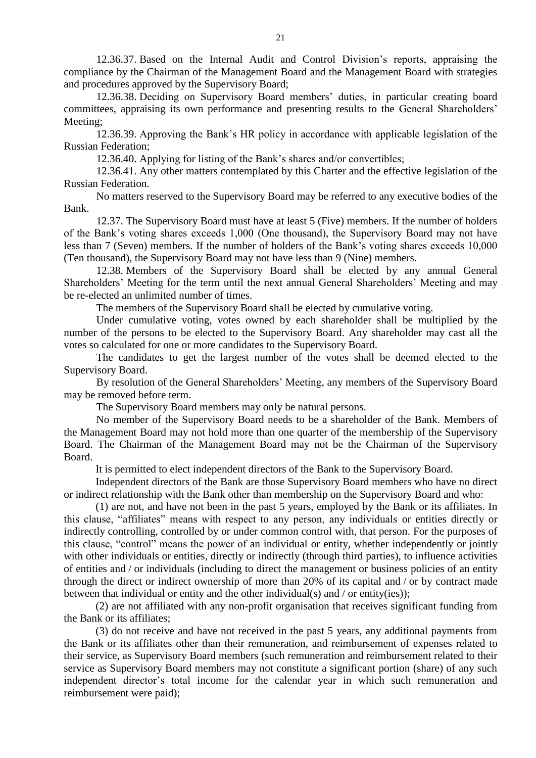12.36.37. Based on the Internal Audit and Control Division's reports, appraising the compliance by the Chairman of the Management Board and the Management Board with strategies and procedures approved by the Supervisory Board;

12.36.38. Deciding on Supervisory Board members' duties, in particular creating board committees, appraising its own performance and presenting results to the General Shareholders' Meeting;

12.36.39. Approving the Bank's HR policy in accordance with applicable legislation of the Russian Federation;

12.36.40. Applying for listing of the Bank's shares and/or convertibles;

12.36.41. Any other matters contemplated by this Charter and the effective legislation of the Russian Federation.

No matters reserved to the Supervisory Board may be referred to any executive bodies of the Bank.

12.37. The Supervisory Board must have at least 5 (Five) members. If the number of holders of the Bank's voting shares exceeds 1,000 (One thousand), the Supervisory Board may not have less than 7 (Seven) members. If the number of holders of the Bank's voting shares exceeds 10,000 (Ten thousand), the Supervisory Board may not have less than 9 (Nine) members.

12.38. Members of the Supervisory Board shall be elected by any annual General Shareholders' Meeting for the term until the next annual General Shareholders' Meeting and may be re-elected an unlimited number of times.

The members of the Supervisory Board shall be elected by cumulative voting.

Under cumulative voting, votes owned by each shareholder shall be multiplied by the number of the persons to be elected to the Supervisory Board. Any shareholder may cast all the votes so calculated for one or more candidates to the Supervisory Board.

The candidates to get the largest number of the votes shall be deemed elected to the Supervisory Board.

By resolution of the General Shareholders' Meeting, any members of the Supervisory Board may be removed before term.

The Supervisory Board members may only be natural persons.

No member of the Supervisory Board needs to be a shareholder of the Bank. Members of the Management Board may not hold more than one quarter of the membership of the Supervisory Board. The Chairman of the Management Board may not be the Chairman of the Supervisory Board.

It is permitted to elect independent directors of the Bank to the Supervisory Board.

Independent directors of the Bank are those Supervisory Board members who have no direct or indirect relationship with the Bank other than membership on the Supervisory Board and who:

(1) are not, and have not been in the past 5 years, employed by the Bank or its affiliates. In this clause, "affiliates" means with respect to any person, any individuals or entities directly or indirectly controlling, controlled by or under common control with, that person. For the purposes of this clause, "control" means the power of an individual or entity, whether independently or jointly with other individuals or entities, directly or indirectly (through third parties), to influence activities of entities and / or individuals (including to direct the management or business policies of an entity through the direct or indirect ownership of more than 20% of its capital and / or by contract made between that individual or entity and the other individual(s) and  $/$  or entity(ies));

(2) are not affiliated with any non-profit organisation that receives significant funding from the Bank or its affiliates;

(3) do not receive and have not received in the past 5 years, any additional payments from the Bank or its affiliates other than their remuneration, and reimbursement of expenses related to their service, as Supervisory Board members (such remuneration and reimbursement related to their service as Supervisory Board members may not constitute a significant portion (share) of any such independent director's total income for the calendar year in which such remuneration and reimbursement were paid);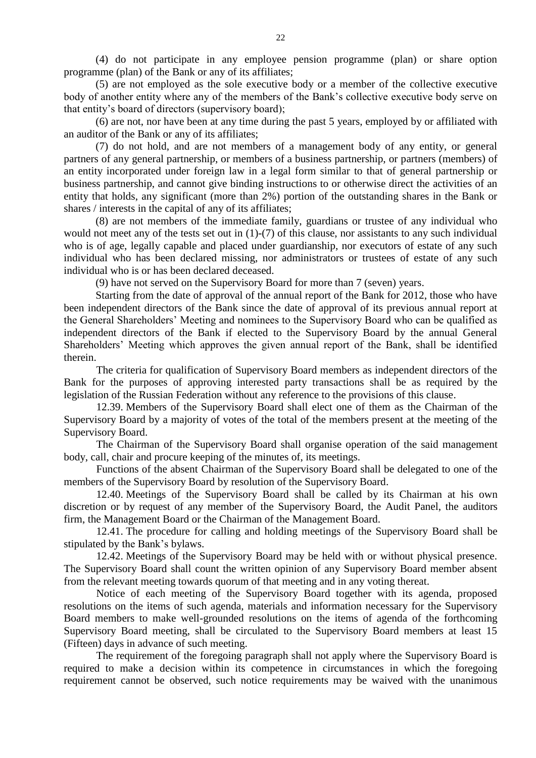(4) do not participate in any employee pension programme (plan) or share option programme (plan) of the Bank or any of its affiliates;

(5) are not employed as the sole executive body or a member of the collective executive body of another entity where any of the members of the Bank's collective executive body serve on that entity's board of directors (supervisory board);

(6) are not, nor have been at any time during the past 5 years, employed by or affiliated with an auditor of the Bank or any of its affiliates;

(7) do not hold, and are not members of a management body of any entity, or general partners of any general partnership, or members of a business partnership, or partners (members) of an entity incorporated under foreign law in a legal form similar to that of general partnership or business partnership, and cannot give binding instructions to or otherwise direct the activities of an entity that holds, any significant (more than 2%) portion of the outstanding shares in the Bank or shares / interests in the capital of any of its affiliates;

(8) are not members of the immediate family, guardians or trustee of any individual who would not meet any of the tests set out in (1)-(7) of this clause, nor assistants to any such individual who is of age, legally capable and placed under guardianship, nor executors of estate of any such individual who has been declared missing, nor administrators or trustees of estate of any such individual who is or has been declared deceased.

(9) have not served on the Supervisory Board for more than 7 (seven) years.

Starting from the date of approval of the annual report of the Bank for 2012, those who have been independent directors of the Bank since the date of approval of its previous annual report at the General Shareholders' Meeting and nominees to the Supervisory Board who can be qualified as independent directors of the Bank if elected to the Supervisory Board by the annual General Shareholders' Meeting which approves the given annual report of the Bank, shall be identified therein.

The criteria for qualification of Supervisory Board members as independent directors of the Bank for the purposes of approving interested party transactions shall be as required by the legislation of the Russian Federation without any reference to the provisions of this clause.

12.39. Members of the Supervisory Board shall elect one of them as the Chairman of the Supervisory Board by a majority of votes of the total of the members present at the meeting of the Supervisory Board.

The Chairman of the Supervisory Board shall organise operation of the said management body, call, chair and procure keeping of the minutes of, its meetings.

Functions of the absent Chairman of the Supervisory Board shall be delegated to one of the members of the Supervisory Board by resolution of the Supervisory Board.

12.40. Meetings of the Supervisory Board shall be called by its Chairman at his own discretion or by request of any member of the Supervisory Board, the Audit Panel, the auditors firm, the Management Board or the Chairman of the Management Board.

12.41. The procedure for calling and holding meetings of the Supervisory Board shall be stipulated by the Bank's bylaws.

12.42. Meetings of the Supervisory Board may be held with or without physical presence. The Supervisory Board shall count the written opinion of any Supervisory Board member absent from the relevant meeting towards quorum of that meeting and in any voting thereat.

Notice of each meeting of the Supervisory Board together with its agenda, proposed resolutions on the items of such agenda, materials and information necessary for the Supervisory Board members to make well-grounded resolutions on the items of agenda of the forthcoming Supervisory Board meeting, shall be circulated to the Supervisory Board members at least 15 (Fifteen) days in advance of such meeting.

The requirement of the foregoing paragraph shall not apply where the Supervisory Board is required to make a decision within its competence in circumstances in which the foregoing requirement cannot be observed, such notice requirements may be waived with the unanimous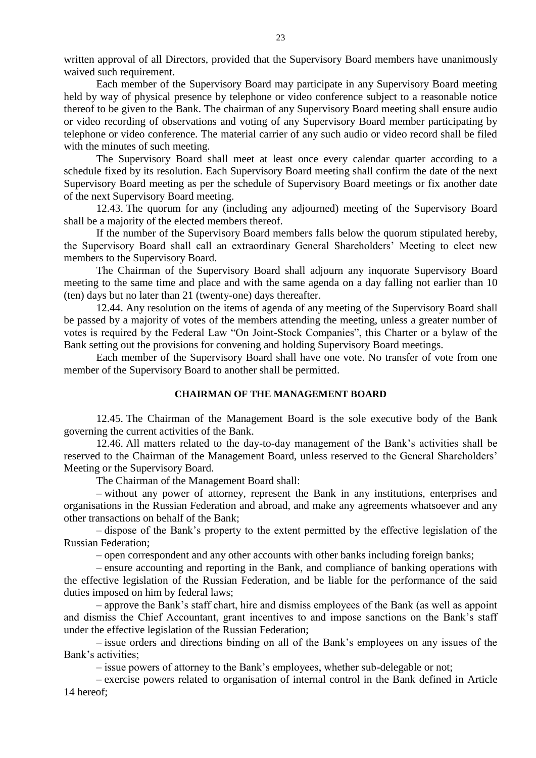written approval of all Directors, provided that the Supervisory Board members have unanimously waived such requirement.

Each member of the Supervisory Board may participate in any Supervisory Board meeting held by way of physical presence by telephone or video conference subject to a reasonable notice thereof to be given to the Bank. The chairman of any Supervisory Board meeting shall ensure audio or video recording of observations and voting of any Supervisory Board member participating by telephone or video conference. The material carrier of any such audio or video record shall be filed with the minutes of such meeting.

The Supervisory Board shall meet at least once every calendar quarter according to a schedule fixed by its resolution. Each Supervisory Board meeting shall confirm the date of the next Supervisory Board meeting as per the schedule of Supervisory Board meetings or fix another date of the next Supervisory Board meeting.

12.43. The quorum for any (including any adjourned) meeting of the Supervisory Board shall be a majority of the elected members thereof.

If the number of the Supervisory Board members falls below the quorum stipulated hereby, the Supervisory Board shall call an extraordinary General Shareholders' Meeting to elect new members to the Supervisory Board.

The Chairman of the Supervisory Board shall adjourn any inquorate Supervisory Board meeting to the same time and place and with the same agenda on a day falling not earlier than 10 (ten) days but no later than 21 (twenty-one) days thereafter.

12.44. Any resolution on the items of agenda of any meeting of the Supervisory Board shall be passed by a majority of votes of the members attending the meeting, unless a greater number of votes is required by the Federal Law "On Joint-Stock Companies", this Charter or a bylaw of the Bank setting out the provisions for convening and holding Supervisory Board meetings.

Each member of the Supervisory Board shall have one vote. No transfer of vote from one member of the Supervisory Board to another shall be permitted.

# **CHAIRMAN OF THE MANAGEMENT BOARD**

12.45. The Chairman of the Management Board is the sole executive body of the Bank governing the current activities of the Bank.

12.46. All matters related to the day-to-day management of the Bank's activities shall be reserved to the Chairman of the Management Board, unless reserved to the General Shareholders' Meeting or the Supervisory Board.

The Chairman of the Management Board shall:

– without any power of attorney, represent the Bank in any institutions, enterprises and organisations in the Russian Federation and abroad, and make any agreements whatsoever and any other transactions on behalf of the Bank;

– dispose of the Bank's property to the extent permitted by the effective legislation of the Russian Federation;

– open correspondent and any other accounts with other banks including foreign banks;

– ensure accounting and reporting in the Bank, and compliance of banking operations with the effective legislation of the Russian Federation, and be liable for the performance of the said duties imposed on him by federal laws;

– approve the Bank's staff chart, hire and dismiss employees of the Bank (as well as appoint and dismiss the Chief Accountant, grant incentives to and impose sanctions on the Bank's staff under the effective legislation of the Russian Federation;

– issue orders and directions binding on all of the Bank's employees on any issues of the Bank's activities;

– issue powers of attorney to the Bank's employees, whether sub-delegable or not;

– exercise powers related to organisation of internal control in the Bank defined in Article 14 hereof;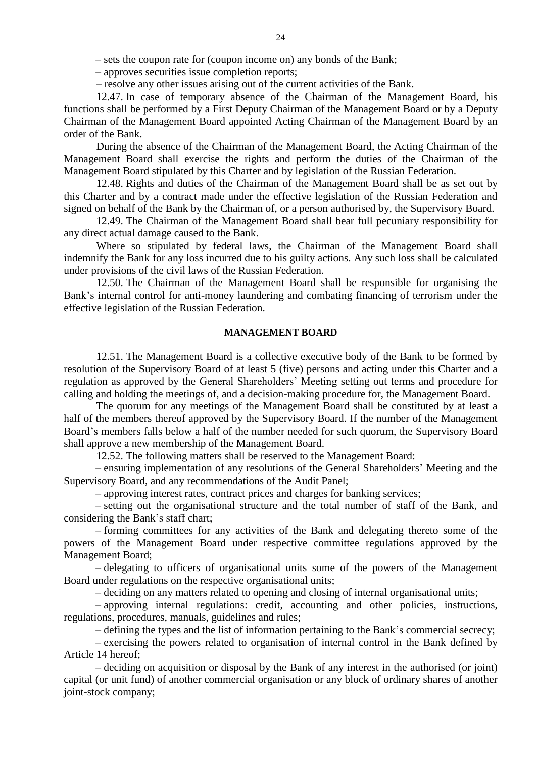– sets the coupon rate for (coupon income on) any bonds of the Bank;

– approves securities issue completion reports;

– resolve any other issues arising out of the current activities of the Bank.

12.47. In case of temporary absence of the Chairman of the Management Board, his functions shall be performed by a First Deputy Chairman of the Management Board or by a Deputy Chairman of the Management Board appointed Acting Chairman of the Management Board by an order of the Bank.

During the absence of the Chairman of the Management Board, the Acting Chairman of the Management Board shall exercise the rights and perform the duties of the Chairman of the Management Board stipulated by this Charter and by legislation of the Russian Federation.

12.48. Rights and duties of the Chairman of the Management Board shall be as set out by this Charter and by a contract made under the effective legislation of the Russian Federation and signed on behalf of the Bank by the Chairman of, or a person authorised by, the Supervisory Board.

12.49. The Chairman of the Management Board shall bear full pecuniary responsibility for any direct actual damage caused to the Bank.

Where so stipulated by federal laws, the Chairman of the Management Board shall indemnify the Bank for any loss incurred due to his guilty actions. Any such loss shall be calculated under provisions of the civil laws of the Russian Federation.

12.50. The Chairman of the Management Board shall be responsible for organising the Bank's internal control for anti-money laundering and combating financing of terrorism under the effective legislation of the Russian Federation.

#### **MANAGEMENT BOARD**

12.51. The Management Board is a collective executive body of the Bank to be formed by resolution of the Supervisory Board of at least 5 (five) persons and acting under this Charter and a regulation as approved by the General Shareholders' Meeting setting out terms and procedure for calling and holding the meetings of, and a decision-making procedure for, the Management Board.

The quorum for any meetings of the Management Board shall be constituted by at least a half of the members thereof approved by the Supervisory Board. If the number of the Management Board's members falls below a half of the number needed for such quorum, the Supervisory Board shall approve a new membership of the Management Board.

12.52. The following matters shall be reserved to the Management Board:

– ensuring implementation of any resolutions of the General Shareholders' Meeting and the Supervisory Board, and any recommendations of the Audit Panel;

– approving interest rates, contract prices and charges for banking services;

– setting out the organisational structure and the total number of staff of the Bank, and considering the Bank's staff chart;

– forming committees for any activities of the Bank and delegating thereto some of the powers of the Management Board under respective committee regulations approved by the Management Board;

– delegating to officers of organisational units some of the powers of the Management Board under regulations on the respective organisational units;

– deciding on any matters related to opening and closing of internal organisational units;

– approving internal regulations: credit, accounting and other policies, instructions, regulations, procedures, manuals, guidelines and rules;

– defining the types and the list of information pertaining to the Bank's commercial secrecy;

– exercising the powers related to organisation of internal control in the Bank defined by Article 14 hereof;

– deciding on acquisition or disposal by the Bank of any interest in the authorised (or joint) capital (or unit fund) of another commercial organisation or any block of ordinary shares of another joint-stock company;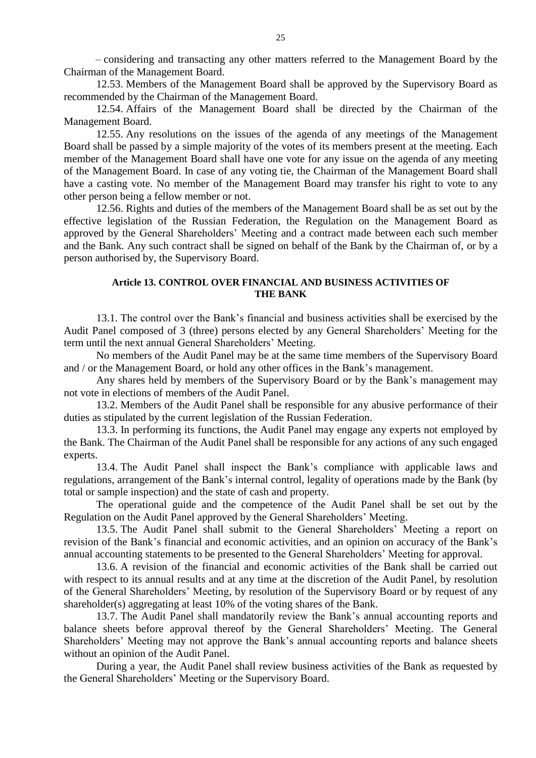– considering and transacting any other matters referred to the Management Board by the Chairman of the Management Board.

12.53. Members of the Management Board shall be approved by the Supervisory Board as recommended by the Chairman of the Management Board.

12.54. Affairs of the Management Board shall be directed by the Chairman of the Management Board.

12.55. Any resolutions on the issues of the agenda of any meetings of the Management Board shall be passed by a simple majority of the votes of its members present at the meeting. Each member of the Management Board shall have one vote for any issue on the agenda of any meeting of the Management Board. In case of any voting tie, the Chairman of the Management Board shall have a casting vote. No member of the Management Board may transfer his right to vote to any other person being a fellow member or not.

12.56. Rights and duties of the members of the Management Board shall be as set out by the effective legislation of the Russian Federation, the Regulation on the Management Board as approved by the General Shareholders' Meeting and a contract made between each such member and the Bank. Any such contract shall be signed on behalf of the Bank by the Chairman of, or by a person authorised by, the Supervisory Board.

### **Article 13. CONTROL OVER FINANCIAL AND BUSINESS ACTIVITIES OF THE BANK**

13.1. The control over the Bank's financial and business activities shall be exercised by the Audit Panel composed of 3 (three) persons elected by any General Shareholders' Meeting for the term until the next annual General Shareholders' Meeting.

No members of the Audit Panel may be at the same time members of the Supervisory Board and / or the Management Board, or hold any other offices in the Bank's management.

Any shares held by members of the Supervisory Board or by the Bank's management may not vote in elections of members of the Audit Panel.

13.2. Members of the Audit Panel shall be responsible for any abusive performance of their duties as stipulated by the current legislation of the Russian Federation.

13.3. In performing its functions, the Audit Panel may engage any experts not employed by the Bank. The Chairman of the Audit Panel shall be responsible for any actions of any such engaged experts.

13.4. The Audit Panel shall inspect the Bank's compliance with applicable laws and regulations, arrangement of the Bank's internal control, legality of operations made by the Bank (by total or sample inspection) and the state of cash and property.

The operational guide and the competence of the Audit Panel shall be set out by the Regulation on the Audit Panel approved by the General Shareholders' Meeting.

13.5. The Audit Panel shall submit to the General Shareholders' Meeting a report on revision of the Bank's financial and economic activities, and an opinion on accuracy of the Bank's annual accounting statements to be presented to the General Shareholders' Meeting for approval.

13.6. A revision of the financial and economic activities of the Bank shall be carried out with respect to its annual results and at any time at the discretion of the Audit Panel, by resolution of the General Shareholders' Meeting, by resolution of the Supervisory Board or by request of any shareholder(s) aggregating at least 10% of the voting shares of the Bank.

13.7. The Audit Panel shall mandatorily review the Bank's annual accounting reports and balance sheets before approval thereof by the General Shareholders' Meeting. The General Shareholders' Meeting may not approve the Bank's annual accounting reports and balance sheets without an opinion of the Audit Panel.

During a year, the Audit Panel shall review business activities of the Bank as requested by the General Shareholders' Meeting or the Supervisory Board.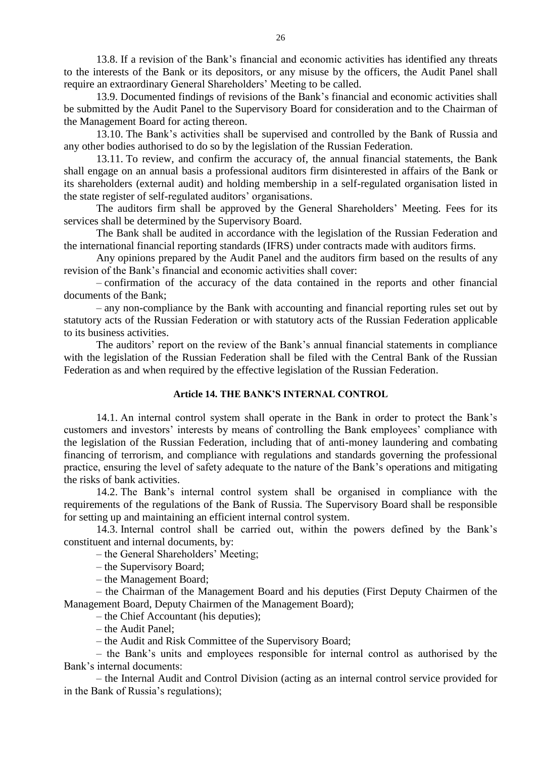13.8. If a revision of the Bank's financial and economic activities has identified any threats to the interests of the Bank or its depositors, or any misuse by the officers, the Audit Panel shall require an extraordinary General Shareholders' Meeting to be called.

13.9. Documented findings of revisions of the Bank's financial and economic activities shall be submitted by the Audit Panel to the Supervisory Board for consideration and to the Chairman of the Management Board for acting thereon.

13.10. The Bank's activities shall be supervised and controlled by the Bank of Russia and any other bodies authorised to do so by the legislation of the Russian Federation.

13.11. To review, and confirm the accuracy of, the annual financial statements, the Bank shall engage on an annual basis a professional auditors firm disinterested in affairs of the Bank or its shareholders (external audit) and holding membership in a self-regulated organisation listed in the state register of self-regulated auditors' organisations.

The auditors firm shall be approved by the General Shareholders' Meeting. Fees for its services shall be determined by the Supervisory Board.

The Bank shall be audited in accordance with the legislation of the Russian Federation and the international financial reporting standards (IFRS) under contracts made with auditors firms.

Any opinions prepared by the Audit Panel and the auditors firm based on the results of any revision of the Bank's financial and economic activities shall cover:

– confirmation of the accuracy of the data contained in the reports and other financial documents of the Bank;

– any non-compliance by the Bank with accounting and financial reporting rules set out by statutory acts of the Russian Federation or with statutory acts of the Russian Federation applicable to its business activities.

The auditors' report on the review of the Bank's annual financial statements in compliance with the legislation of the Russian Federation shall be filed with the Central Bank of the Russian Federation as and when required by the effective legislation of the Russian Federation.

# **Article 14. THE BANK'S INTERNAL CONTROL**

14.1. An internal control system shall operate in the Bank in order to protect the Bank's customers and investors' interests by means of controlling the Bank employees' compliance with the legislation of the Russian Federation, including that of anti-money laundering and combating financing of terrorism, and compliance with regulations and standards governing the professional practice, ensuring the level of safety adequate to the nature of the Bank's operations and mitigating the risks of bank activities.

14.2. The Bank's internal control system shall be organised in compliance with the requirements of the regulations of the Bank of Russia. The Supervisory Board shall be responsible for setting up and maintaining an efficient internal control system.

14.3. Internal control shall be carried out, within the powers defined by the Bank's constituent and internal documents, by:

– the General Shareholders' Meeting;

– the Supervisory Board;

– the Management Board;

– the Chairman of the Management Board and his deputies (First Deputy Chairmen of the Management Board, Deputy Chairmen of the Management Board);

– the Chief Accountant (his deputies);

– the Audit Panel;

– the Audit and Risk Committee of the Supervisory Board;

– the Bank's units and employees responsible for internal control as authorised by the Bank's internal documents:

– the Internal Audit and Control Division (acting as an internal control service provided for in the Bank of Russia's regulations);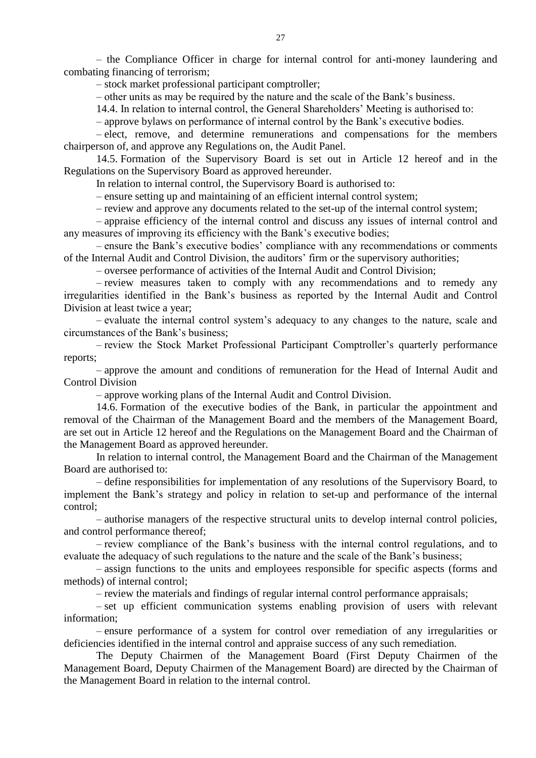– the Compliance Officer in charge for internal control for anti-money laundering and combating financing of terrorism;

– stock market professional participant comptroller;

– other units as may be required by the nature and the scale of the Bank's business.

14.4. In relation to internal control, the General Shareholders' Meeting is authorised to:

– approve bylaws on performance of internal control by the Bank's executive bodies.

– elect, remove, and determine remunerations and compensations for the members chairperson of, and approve any Regulations on, the Audit Panel.

14.5. Formation of the Supervisory Board is set out in Article 12 hereof and in the Regulations on the Supervisory Board as approved hereunder.

In relation to internal control, the Supervisory Board is authorised to:

– ensure setting up and maintaining of an efficient internal control system;

– review and approve any documents related to the set-up of the internal control system;

– appraise efficiency of the internal control and discuss any issues of internal control and any measures of improving its efficiency with the Bank's executive bodies;

– ensure the Bank's executive bodies' compliance with any recommendations or comments of the Internal Audit and Control Division, the auditors' firm or the supervisory authorities;

– oversee performance of activities of the Internal Audit and Control Division;

– review measures taken to comply with any recommendations and to remedy any irregularities identified in the Bank's business as reported by the Internal Audit and Control Division at least twice a year;

– evaluate the internal control system's adequacy to any changes to the nature, scale and circumstances of the Bank's business;

– review the Stock Market Professional Participant Comptroller's quarterly performance reports;

– approve the amount and conditions of remuneration for the Head of Internal Audit and Control Division

– approve working plans of the Internal Audit and Control Division.

14.6. Formation of the executive bodies of the Bank, in particular the appointment and removal of the Chairman of the Management Board and the members of the Management Board, are set out in Article 12 hereof and the Regulations on the Management Board and the Chairman of the Management Board as approved hereunder.

In relation to internal control, the Management Board and the Chairman of the Management Board are authorised to:

– define responsibilities for implementation of any resolutions of the Supervisory Board, to implement the Bank's strategy and policy in relation to set-up and performance of the internal control;

– authorise managers of the respective structural units to develop internal control policies, and control performance thereof;

– review compliance of the Bank's business with the internal control regulations, and to evaluate the adequacy of such regulations to the nature and the scale of the Bank's business;

– assign functions to the units and employees responsible for specific aspects (forms and methods) of internal control;

– review the materials and findings of regular internal control performance appraisals;

– set up efficient communication systems enabling provision of users with relevant information;

– ensure performance of a system for control over remediation of any irregularities or deficiencies identified in the internal control and appraise success of any such remediation.

The Deputy Chairmen of the Management Board (First Deputy Chairmen of the Management Board, Deputy Chairmen of the Management Board) are directed by the Chairman of the Management Board in relation to the internal control.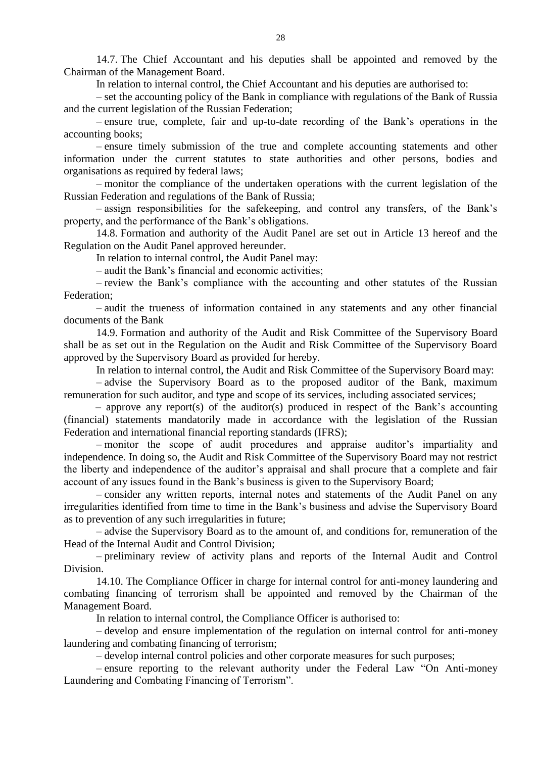14.7. The Chief Accountant and his deputies shall be appointed and removed by the Chairman of the Management Board.

In relation to internal control, the Chief Accountant and his deputies are authorised to:

– set the accounting policy of the Bank in compliance with regulations of the Bank of Russia and the current legislation of the Russian Federation;

– ensure true, complete, fair and up-to-date recording of the Bank's operations in the accounting books;

– ensure timely submission of the true and complete accounting statements and other information under the current statutes to state authorities and other persons, bodies and organisations as required by federal laws;

– monitor the compliance of the undertaken operations with the current legislation of the Russian Federation and regulations of the Bank of Russia;

– assign responsibilities for the safekeeping, and control any transfers, of the Bank's property, and the performance of the Bank's obligations.

14.8. Formation and authority of the Audit Panel are set out in Article 13 hereof and the Regulation on the Audit Panel approved hereunder.

In relation to internal control, the Audit Panel may:

– audit the Bank's financial and economic activities;

– review the Bank's compliance with the accounting and other statutes of the Russian Federation;

– audit the trueness of information contained in any statements and any other financial documents of the Bank

14.9. Formation and authority of the Audit and Risk Committee of the Supervisory Board shall be as set out in the Regulation on the Audit and Risk Committee of the Supervisory Board approved by the Supervisory Board as provided for hereby.

In relation to internal control, the Audit and Risk Committee of the Supervisory Board may:

– advise the Supervisory Board as to the proposed auditor of the Bank, maximum remuneration for such auditor, and type and scope of its services, including associated services;

– approve any report(s) of the auditor(s) produced in respect of the Bank's accounting (financial) statements mandatorily made in accordance with the legislation of the Russian Federation and international financial reporting standards (IFRS);

– monitor the scope of audit procedures and appraise auditor's impartiality and independence. In doing so, the Audit and Risk Committee of the Supervisory Board may not restrict the liberty and independence of the auditor's appraisal and shall procure that a complete and fair account of any issues found in the Bank's business is given to the Supervisory Board;

– consider any written reports, internal notes and statements of the Audit Panel on any irregularities identified from time to time in the Bank's business and advise the Supervisory Board as to prevention of any such irregularities in future;

– advise the Supervisory Board as to the amount of, and conditions for, remuneration of the Head of the Internal Audit and Control Division;

– preliminary review of activity plans and reports of the Internal Audit and Control Division.

14.10. The Compliance Officer in charge for internal control for anti-money laundering and combating financing of terrorism shall be appointed and removed by the Chairman of the Management Board.

In relation to internal control, the Compliance Officer is authorised to:

– develop and ensure implementation of the regulation on internal control for anti-money laundering and combating financing of terrorism;

– develop internal control policies and other corporate measures for such purposes;

– ensure reporting to the relevant authority under the Federal Law "On Anti-money Laundering and Combating Financing of Terrorism".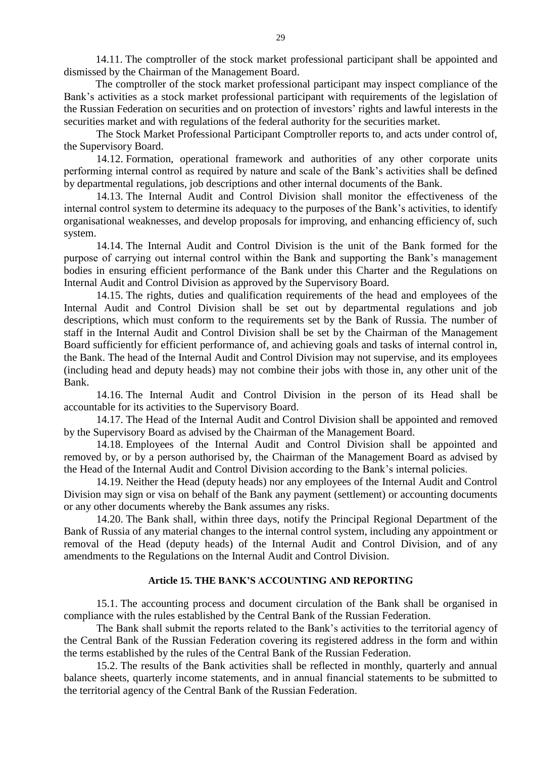14.11. The comptroller of the stock market professional participant shall be appointed and dismissed by the Chairman of the Management Board.

The comptroller of the stock market professional participant may inspect compliance of the Bank's activities as a stock market professional participant with requirements of the legislation of the Russian Federation on securities and on protection of investors' rights and lawful interests in the securities market and with regulations of the federal authority for the securities market.

The Stock Market Professional Participant Comptroller reports to, and acts under control of, the Supervisory Board.

14.12. Formation, operational framework and authorities of any other corporate units performing internal control as required by nature and scale of the Bank's activities shall be defined by departmental regulations, job descriptions and other internal documents of the Bank.

14.13. The Internal Audit and Control Division shall monitor the effectiveness of the internal control system to determine its adequacy to the purposes of the Bank's activities, to identify organisational weaknesses, and develop proposals for improving, and enhancing efficiency of, such system.

14.14. The Internal Audit and Control Division is the unit of the Bank formed for the purpose of carrying out internal control within the Bank and supporting the Bank's management bodies in ensuring efficient performance of the Bank under this Charter and the Regulations on Internal Audit and Control Division as approved by the Supervisory Board.

14.15. The rights, duties and qualification requirements of the head and employees of the Internal Audit and Control Division shall be set out by departmental regulations and job descriptions, which must conform to the requirements set by the Bank of Russia. The number of staff in the Internal Audit and Control Division shall be set by the Chairman of the Management Board sufficiently for efficient performance of, and achieving goals and tasks of internal control in, the Bank. The head of the Internal Audit and Control Division may not supervise, and its employees (including head and deputy heads) may not combine their jobs with those in, any other unit of the Bank.

14.16. The Internal Audit and Control Division in the person of its Head shall be accountable for its activities to the Supervisory Board.

14.17. The Head of the Internal Audit and Control Division shall be appointed and removed by the Supervisory Board as advised by the Chairman of the Management Board.

14.18. Employees of the Internal Audit and Control Division shall be appointed and removed by, or by a person authorised by, the Chairman of the Management Board as advised by the Head of the Internal Audit and Control Division according to the Bank's internal policies.

14.19. Neither the Head (deputy heads) nor any employees of the Internal Audit and Control Division may sign or visa on behalf of the Bank any payment (settlement) or accounting documents or any other documents whereby the Bank assumes any risks.

14.20. The Bank shall, within three days, notify the Principal Regional Department of the Bank of Russia of any material changes to the internal control system, including any appointment or removal of the Head (deputy heads) of the Internal Audit and Control Division, and of any amendments to the Regulations on the Internal Audit and Control Division.

## **Article 15. THE BANK'S ACCOUNTING AND REPORTING**

15.1. The accounting process and document circulation of the Bank shall be organised in compliance with the rules established by the Central Bank of the Russian Federation.

The Bank shall submit the reports related to the Bank's activities to the territorial agency of the Central Bank of the Russian Federation covering its registered address in the form and within the terms established by the rules of the Central Bank of the Russian Federation.

15.2. The results of the Bank activities shall be reflected in monthly, quarterly and annual balance sheets, quarterly income statements, and in annual financial statements to be submitted to the territorial agency of the Central Bank of the Russian Federation.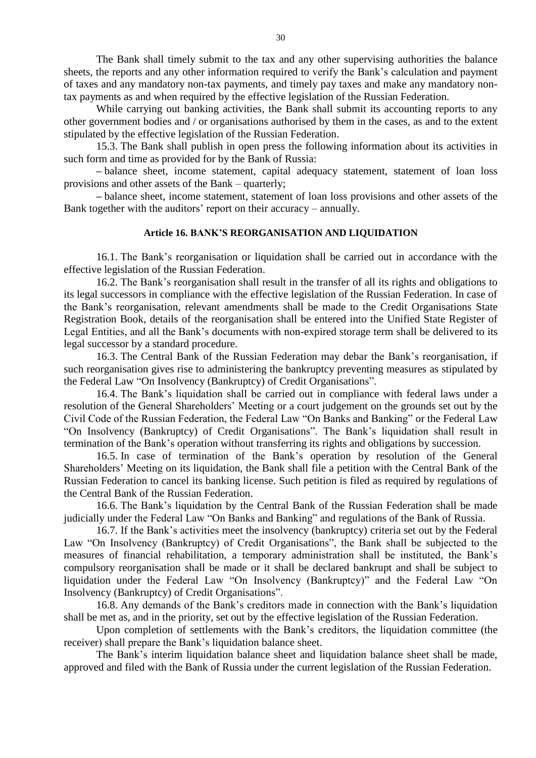The Bank shall timely submit to the tax and any other supervising authorities the balance sheets, the reports and any other information required to verify the Bank's calculation and payment of taxes and any mandatory non-tax payments, and timely pay taxes and make any mandatory nontax payments as and when required by the effective legislation of the Russian Federation.

While carrying out banking activities, the Bank shall submit its accounting reports to any other government bodies and / or organisations authorised by them in the cases, as and to the extent stipulated by the effective legislation of the Russian Federation.

15.3. The Bank shall publish in open press the following information about its activities in such form and time as provided for by the Bank of Russia:

**–** balance sheet, income statement, capital adequacy statement, statement of loan loss provisions and other assets of the Bank – quarterly;

**–** balance sheet, income statement, statement of loan loss provisions and other assets of the Bank together with the auditors' report on their accuracy – annually.

### **Article 16. BANK'S REORGANISATION AND LIQUIDATION**

16.1. The Bank's reorganisation or liquidation shall be carried out in accordance with the effective legislation of the Russian Federation.

16.2. The Bank's reorganisation shall result in the transfer of all its rights and obligations to its legal successors in compliance with the effective legislation of the Russian Federation. In case of the Bank's reorganisation, relevant amendments shall be made to the Credit Organisations State Registration Book, details of the reorganisation shall be entered into the Unified State Register of Legal Entities, and all the Bank's documents with non-expired storage term shall be delivered to its legal successor by a standard procedure.

16.3. The Central Bank of the Russian Federation may debar the Bank's reorganisation, if such reorganisation gives rise to administering the bankruptcy preventing measures as stipulated by the Federal Law "On Insolvency (Bankruptcy) of Credit Organisations".

16.4. The Bank's liquidation shall be carried out in compliance with federal laws under a resolution of the General Shareholders' Meeting or a court judgement on the grounds set out by the Civil Code of the Russian Federation, the Federal Law "On Banks and Banking" or the Federal Law "On Insolvency (Bankruptcy) of Credit Organisations". The Bank's liquidation shall result in termination of the Bank's operation without transferring its rights and obligations by succession.

16.5. In case of termination of the Bank's operation by resolution of the General Shareholders' Meeting on its liquidation, the Bank shall file a petition with the Central Bank of the Russian Federation to cancel its banking license. Such petition is filed as required by regulations of the Central Bank of the Russian Federation.

16.6. The Bank's liquidation by the Central Bank of the Russian Federation shall be made judicially under the Federal Law "On Banks and Banking" and regulations of the Bank of Russia.

16.7. If the Bank's activities meet the insolvency (bankruptcy) criteria set out by the Federal Law "On Insolvency (Bankruptcy) of Credit Organisations", the Bank shall be subjected to the measures of financial rehabilitation, a temporary administration shall be instituted, the Bank's compulsory reorganisation shall be made or it shall be declared bankrupt and shall be subject to liquidation under the Federal Law "On Insolvency (Bankruptcy)" and the Federal Law "On Insolvency (Bankruptcy) of Credit Organisations".

16.8. Any demands of the Bank's creditors made in connection with the Bank's liquidation shall be met as, and in the priority, set out by the effective legislation of the Russian Federation.

Upon completion of settlements with the Bank's creditors, the liquidation committee (the receiver) shall prepare the Bank's liquidation balance sheet.

The Bank's interim liquidation balance sheet and liquidation balance sheet shall be made, approved and filed with the Bank of Russia under the current legislation of the Russian Federation.